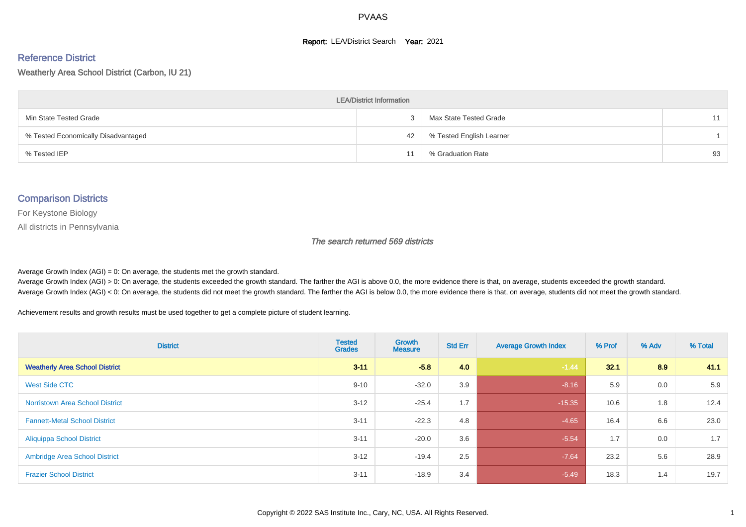#### **Report: LEA/District Search Year: 2021**

#### Reference District

Weatherly Area School District (Carbon, IU 21)

| <b>LEA/District Information</b>     |    |                          |    |  |  |  |  |  |  |  |
|-------------------------------------|----|--------------------------|----|--|--|--|--|--|--|--|
| Min State Tested Grade              |    | Max State Tested Grade   | 11 |  |  |  |  |  |  |  |
| % Tested Economically Disadvantaged | 42 | % Tested English Learner |    |  |  |  |  |  |  |  |
| % Tested IEP                        |    | % Graduation Rate        | 93 |  |  |  |  |  |  |  |

#### Comparison Districts

For Keystone Biology

All districts in Pennsylvania

The search returned 569 districts

Average Growth Index  $(AGI) = 0$ : On average, the students met the growth standard.

Average Growth Index (AGI) > 0: On average, the students exceeded the growth standard. The farther the AGI is above 0.0, the more evidence there is that, on average, students exceeded the growth standard. Average Growth Index (AGI) < 0: On average, the students did not meet the growth standard. The farther the AGI is below 0.0, the more evidence there is that, on average, students did not meet the growth standard.

Achievement results and growth results must be used together to get a complete picture of student learning.

| <b>District</b>                        | <b>Tested</b><br><b>Grades</b> | Growth<br><b>Measure</b> | <b>Std Err</b> | <b>Average Growth Index</b> | % Prof | % Adv | % Total |
|----------------------------------------|--------------------------------|--------------------------|----------------|-----------------------------|--------|-------|---------|
| <b>Weatherly Area School District</b>  | $3 - 11$                       | $-5.8$                   | 4.0            | $-1.44$                     | 32.1   | 8.9   | 41.1    |
| West Side CTC                          | $9 - 10$                       | $-32.0$                  | 3.9            | $-8.16$                     | 5.9    | 0.0   | 5.9     |
| <b>Norristown Area School District</b> | $3 - 12$                       | $-25.4$                  | 1.7            | $-15.35$                    | 10.6   | 1.8   | 12.4    |
| <b>Fannett-Metal School District</b>   | $3 - 11$                       | $-22.3$                  | 4.8            | $-4.65$                     | 16.4   | 6.6   | 23.0    |
| <b>Aliquippa School District</b>       | $3 - 11$                       | $-20.0$                  | 3.6            | $-5.54$                     | 1.7    | 0.0   | 1.7     |
| <b>Ambridge Area School District</b>   | $3 - 12$                       | $-19.4$                  | 2.5            | $-7.64$                     | 23.2   | 5.6   | 28.9    |
| <b>Frazier School District</b>         | $3 - 11$                       | $-18.9$                  | 3.4            | $-5.49$                     | 18.3   | 1.4   | 19.7    |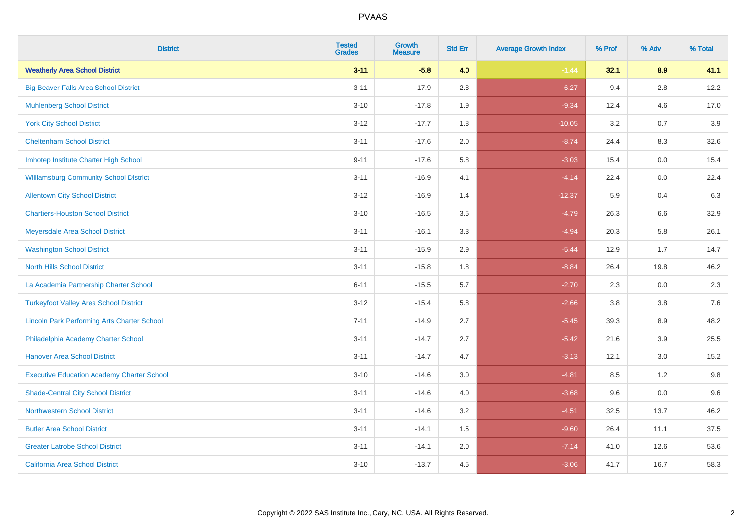| <b>District</b>                                    | <b>Tested</b><br><b>Grades</b> | <b>Growth</b><br><b>Measure</b> | <b>Std Err</b> | <b>Average Growth Index</b> | % Prof | % Adv   | % Total |
|----------------------------------------------------|--------------------------------|---------------------------------|----------------|-----------------------------|--------|---------|---------|
| <b>Weatherly Area School District</b>              | $3 - 11$                       | $-5.8$                          | 4.0            | $-1.44$                     | 32.1   | 8.9     | 41.1    |
| <b>Big Beaver Falls Area School District</b>       | $3 - 11$                       | $-17.9$                         | 2.8            | $-6.27$                     | 9.4    | $2.8\,$ | 12.2    |
| <b>Muhlenberg School District</b>                  | $3 - 10$                       | $-17.8$                         | 1.9            | $-9.34$                     | 12.4   | 4.6     | 17.0    |
| <b>York City School District</b>                   | $3-12$                         | $-17.7$                         | 1.8            | $-10.05$                    | 3.2    | 0.7     | 3.9     |
| <b>Cheltenham School District</b>                  | $3 - 11$                       | $-17.6$                         | 2.0            | $-8.74$                     | 24.4   | 8.3     | 32.6    |
| Imhotep Institute Charter High School              | $9 - 11$                       | $-17.6$                         | 5.8            | $-3.03$                     | 15.4   | 0.0     | 15.4    |
| <b>Williamsburg Community School District</b>      | $3 - 11$                       | $-16.9$                         | 4.1            | $-4.14$                     | 22.4   | 0.0     | 22.4    |
| <b>Allentown City School District</b>              | $3 - 12$                       | $-16.9$                         | 1.4            | $-12.37$                    | 5.9    | 0.4     | 6.3     |
| <b>Chartiers-Houston School District</b>           | $3 - 10$                       | $-16.5$                         | 3.5            | $-4.79$                     | 26.3   | 6.6     | 32.9    |
| Meyersdale Area School District                    | $3 - 11$                       | $-16.1$                         | 3.3            | $-4.94$                     | 20.3   | 5.8     | 26.1    |
| <b>Washington School District</b>                  | $3 - 11$                       | $-15.9$                         | 2.9            | $-5.44$                     | 12.9   | 1.7     | 14.7    |
| <b>North Hills School District</b>                 | $3 - 11$                       | $-15.8$                         | 1.8            | $-8.84$                     | 26.4   | 19.8    | 46.2    |
| La Academia Partnership Charter School             | $6 - 11$                       | $-15.5$                         | 5.7            | $-2.70$                     | 2.3    | $0.0\,$ | 2.3     |
| <b>Turkeyfoot Valley Area School District</b>      | $3 - 12$                       | $-15.4$                         | 5.8            | $-2.66$                     | 3.8    | 3.8     | 7.6     |
| <b>Lincoln Park Performing Arts Charter School</b> | $7 - 11$                       | $-14.9$                         | 2.7            | $-5.45$                     | 39.3   | 8.9     | 48.2    |
| Philadelphia Academy Charter School                | $3 - 11$                       | $-14.7$                         | 2.7            | $-5.42$                     | 21.6   | 3.9     | 25.5    |
| <b>Hanover Area School District</b>                | $3 - 11$                       | $-14.7$                         | 4.7            | $-3.13$                     | 12.1   | 3.0     | 15.2    |
| <b>Executive Education Academy Charter School</b>  | $3 - 10$                       | $-14.6$                         | 3.0            | $-4.81$                     | 8.5    | 1.2     | 9.8     |
| <b>Shade-Central City School District</b>          | $3 - 11$                       | $-14.6$                         | 4.0            | $-3.68$                     | 9.6    | 0.0     | 9.6     |
| <b>Northwestern School District</b>                | $3 - 11$                       | $-14.6$                         | 3.2            | $-4.51$                     | 32.5   | 13.7    | 46.2    |
| <b>Butler Area School District</b>                 | $3 - 11$                       | $-14.1$                         | 1.5            | $-9.60$                     | 26.4   | 11.1    | 37.5    |
| <b>Greater Latrobe School District</b>             | $3 - 11$                       | $-14.1$                         | 2.0            | $-7.14$                     | 41.0   | 12.6    | 53.6    |
| <b>California Area School District</b>             | $3 - 10$                       | $-13.7$                         | 4.5            | $-3.06$                     | 41.7   | 16.7    | 58.3    |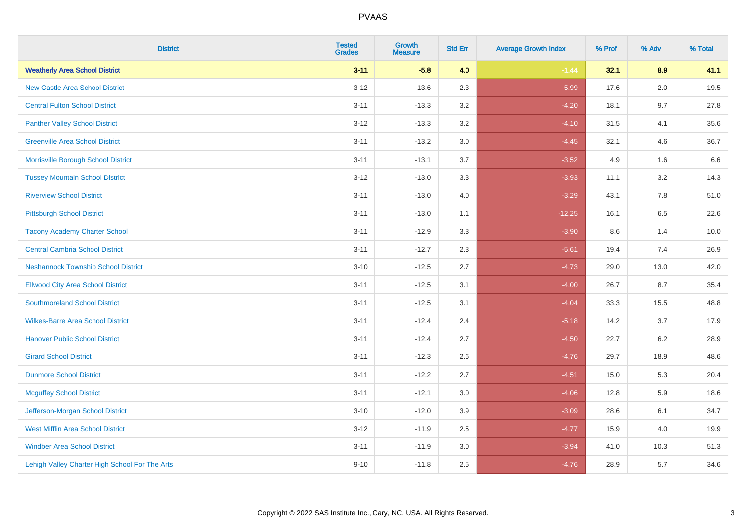| <b>District</b>                                | <b>Tested</b><br><b>Grades</b> | <b>Growth</b><br><b>Measure</b> | <b>Std Err</b> | <b>Average Growth Index</b> | % Prof | % Adv   | % Total |
|------------------------------------------------|--------------------------------|---------------------------------|----------------|-----------------------------|--------|---------|---------|
| <b>Weatherly Area School District</b>          | $3 - 11$                       | $-5.8$                          | 4.0            | $-1.44$                     | 32.1   | 8.9     | 41.1    |
| <b>New Castle Area School District</b>         | $3 - 12$                       | $-13.6$                         | 2.3            | $-5.99$                     | 17.6   | $2.0\,$ | 19.5    |
| <b>Central Fulton School District</b>          | $3 - 11$                       | $-13.3$                         | 3.2            | $-4.20$                     | 18.1   | 9.7     | 27.8    |
| <b>Panther Valley School District</b>          | $3-12$                         | $-13.3$                         | 3.2            | $-4.10$                     | 31.5   | 4.1     | 35.6    |
| <b>Greenville Area School District</b>         | $3 - 11$                       | $-13.2$                         | 3.0            | $-4.45$                     | 32.1   | 4.6     | 36.7    |
| Morrisville Borough School District            | $3 - 11$                       | $-13.1$                         | 3.7            | $-3.52$                     | 4.9    | 1.6     | 6.6     |
| <b>Tussey Mountain School District</b>         | $3 - 12$                       | $-13.0$                         | 3.3            | $-3.93$                     | 11.1   | 3.2     | 14.3    |
| <b>Riverview School District</b>               | $3 - 11$                       | $-13.0$                         | 4.0            | $-3.29$                     | 43.1   | 7.8     | 51.0    |
| <b>Pittsburgh School District</b>              | $3 - 11$                       | $-13.0$                         | 1.1            | $-12.25$                    | 16.1   | 6.5     | 22.6    |
| <b>Tacony Academy Charter School</b>           | $3 - 11$                       | $-12.9$                         | 3.3            | $-3.90$                     | 8.6    | 1.4     | 10.0    |
| <b>Central Cambria School District</b>         | $3 - 11$                       | $-12.7$                         | 2.3            | $-5.61$                     | 19.4   | 7.4     | 26.9    |
| <b>Neshannock Township School District</b>     | $3 - 10$                       | $-12.5$                         | 2.7            | $-4.73$                     | 29.0   | 13.0    | 42.0    |
| <b>Ellwood City Area School District</b>       | $3 - 11$                       | $-12.5$                         | 3.1            | $-4.00$                     | 26.7   | 8.7     | 35.4    |
| <b>Southmoreland School District</b>           | $3 - 11$                       | $-12.5$                         | 3.1            | $-4.04$                     | 33.3   | 15.5    | 48.8    |
| <b>Wilkes-Barre Area School District</b>       | $3 - 11$                       | $-12.4$                         | 2.4            | $-5.18$                     | 14.2   | 3.7     | 17.9    |
| <b>Hanover Public School District</b>          | $3 - 11$                       | $-12.4$                         | 2.7            | $-4.50$                     | 22.7   | $6.2\,$ | 28.9    |
| <b>Girard School District</b>                  | $3 - 11$                       | $-12.3$                         | 2.6            | $-4.76$                     | 29.7   | 18.9    | 48.6    |
| <b>Dunmore School District</b>                 | $3 - 11$                       | $-12.2$                         | 2.7            | $-4.51$                     | 15.0   | 5.3     | 20.4    |
| <b>Mcguffey School District</b>                | $3 - 11$                       | $-12.1$                         | 3.0            | $-4.06$                     | 12.8   | 5.9     | 18.6    |
| Jefferson-Morgan School District               | $3 - 10$                       | $-12.0$                         | 3.9            | $-3.09$                     | 28.6   | 6.1     | 34.7    |
| <b>West Mifflin Area School District</b>       | $3-12$                         | $-11.9$                         | 2.5            | $-4.77$                     | 15.9   | 4.0     | 19.9    |
| <b>Windber Area School District</b>            | $3 - 11$                       | $-11.9$                         | 3.0            | $-3.94$                     | 41.0   | 10.3    | 51.3    |
| Lehigh Valley Charter High School For The Arts | $9 - 10$                       | $-11.8$                         | 2.5            | $-4.76$                     | 28.9   | 5.7     | 34.6    |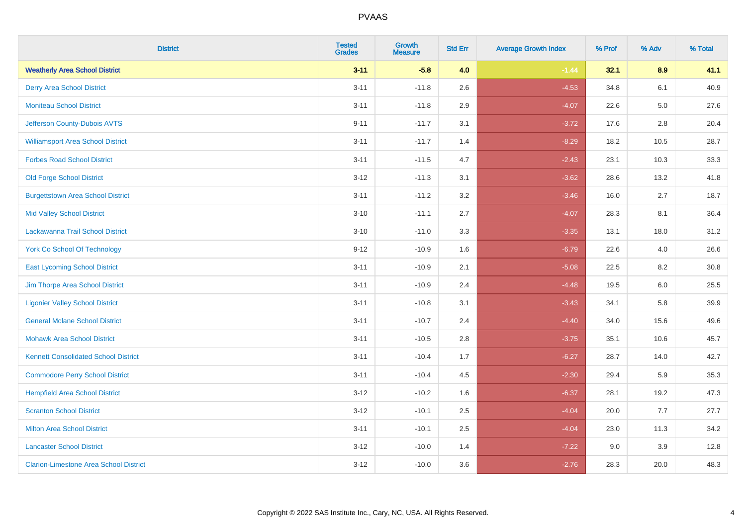| <b>District</b>                               | <b>Tested</b><br><b>Grades</b> | <b>Growth</b><br><b>Measure</b> | <b>Std Err</b> | <b>Average Growth Index</b> | % Prof | % Adv   | % Total |
|-----------------------------------------------|--------------------------------|---------------------------------|----------------|-----------------------------|--------|---------|---------|
| <b>Weatherly Area School District</b>         | $3 - 11$                       | $-5.8$                          | 4.0            | $-1.44$                     | 32.1   | 8.9     | 41.1    |
| <b>Derry Area School District</b>             | $3 - 11$                       | $-11.8$                         | 2.6            | $-4.53$                     | 34.8   | 6.1     | 40.9    |
| <b>Moniteau School District</b>               | $3 - 11$                       | $-11.8$                         | 2.9            | $-4.07$                     | 22.6   | $5.0\,$ | 27.6    |
| Jefferson County-Dubois AVTS                  | $9 - 11$                       | $-11.7$                         | 3.1            | $-3.72$                     | 17.6   | 2.8     | 20.4    |
| <b>Williamsport Area School District</b>      | $3 - 11$                       | $-11.7$                         | 1.4            | $-8.29$                     | 18.2   | 10.5    | 28.7    |
| <b>Forbes Road School District</b>            | $3 - 11$                       | $-11.5$                         | 4.7            | $-2.43$                     | 23.1   | 10.3    | 33.3    |
| <b>Old Forge School District</b>              | $3 - 12$                       | $-11.3$                         | 3.1            | $-3.62$                     | 28.6   | 13.2    | 41.8    |
| <b>Burgettstown Area School District</b>      | $3 - 11$                       | $-11.2$                         | 3.2            | $-3.46$                     | 16.0   | 2.7     | 18.7    |
| <b>Mid Valley School District</b>             | $3 - 10$                       | $-11.1$                         | 2.7            | $-4.07$                     | 28.3   | 8.1     | 36.4    |
| Lackawanna Trail School District              | $3 - 10$                       | $-11.0$                         | 3.3            | $-3.35$                     | 13.1   | 18.0    | 31.2    |
| <b>York Co School Of Technology</b>           | $9 - 12$                       | $-10.9$                         | 1.6            | $-6.79$                     | 22.6   | 4.0     | 26.6    |
| <b>East Lycoming School District</b>          | $3 - 11$                       | $-10.9$                         | 2.1            | $-5.08$                     | 22.5   | 8.2     | 30.8    |
| Jim Thorpe Area School District               | $3 - 11$                       | $-10.9$                         | 2.4            | $-4.48$                     | 19.5   | 6.0     | 25.5    |
| <b>Ligonier Valley School District</b>        | $3 - 11$                       | $-10.8$                         | 3.1            | $-3.43$                     | 34.1   | 5.8     | 39.9    |
| <b>General Mclane School District</b>         | $3 - 11$                       | $-10.7$                         | 2.4            | $-4.40$                     | 34.0   | 15.6    | 49.6    |
| <b>Mohawk Area School District</b>            | $3 - 11$                       | $-10.5$                         | 2.8            | $-3.75$                     | 35.1   | 10.6    | 45.7    |
| <b>Kennett Consolidated School District</b>   | $3 - 11$                       | $-10.4$                         | 1.7            | $-6.27$                     | 28.7   | 14.0    | 42.7    |
| <b>Commodore Perry School District</b>        | $3 - 11$                       | $-10.4$                         | 4.5            | $-2.30$                     | 29.4   | 5.9     | 35.3    |
| <b>Hempfield Area School District</b>         | $3 - 12$                       | $-10.2$                         | 1.6            | $-6.37$                     | 28.1   | 19.2    | 47.3    |
| <b>Scranton School District</b>               | $3 - 12$                       | $-10.1$                         | 2.5            | $-4.04$                     | 20.0   | 7.7     | 27.7    |
| <b>Milton Area School District</b>            | $3 - 11$                       | $-10.1$                         | 2.5            | $-4.04$                     | 23.0   | 11.3    | 34.2    |
| <b>Lancaster School District</b>              | $3 - 12$                       | $-10.0$                         | 1.4            | $-7.22$                     | 9.0    | 3.9     | 12.8    |
| <b>Clarion-Limestone Area School District</b> | $3 - 12$                       | $-10.0$                         | 3.6            | $-2.76$                     | 28.3   | 20.0    | 48.3    |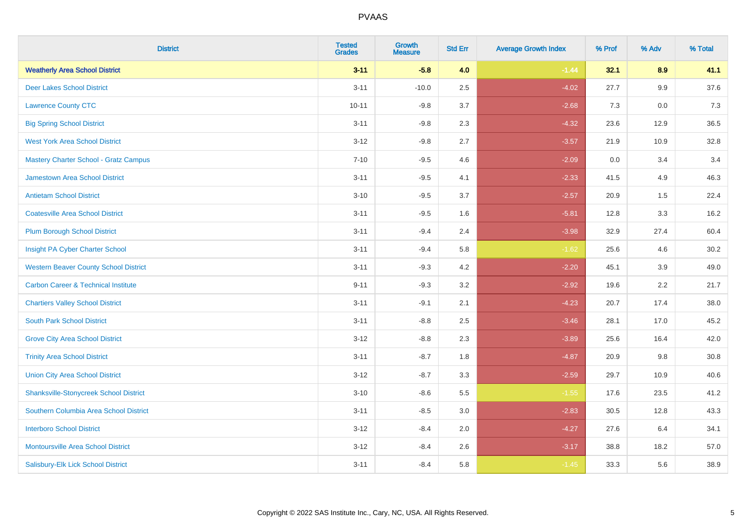| <b>District</b>                                | <b>Tested</b><br><b>Grades</b> | <b>Growth</b><br><b>Measure</b> | <b>Std Err</b> | <b>Average Growth Index</b> | % Prof | % Adv   | % Total |
|------------------------------------------------|--------------------------------|---------------------------------|----------------|-----------------------------|--------|---------|---------|
| <b>Weatherly Area School District</b>          | $3 - 11$                       | $-5.8$                          | 4.0            | $-1.44$                     | 32.1   | 8.9     | 41.1    |
| <b>Deer Lakes School District</b>              | $3 - 11$                       | $-10.0$                         | 2.5            | $-4.02$                     | 27.7   | $9.9\,$ | 37.6    |
| <b>Lawrence County CTC</b>                     | $10 - 11$                      | $-9.8$                          | 3.7            | $-2.68$                     | 7.3    | 0.0     | 7.3     |
| <b>Big Spring School District</b>              | $3 - 11$                       | $-9.8$                          | 2.3            | $-4.32$                     | 23.6   | 12.9    | 36.5    |
| <b>West York Area School District</b>          | $3 - 12$                       | $-9.8$                          | 2.7            | $-3.57$                     | 21.9   | 10.9    | 32.8    |
| <b>Mastery Charter School - Gratz Campus</b>   | $7 - 10$                       | $-9.5$                          | 4.6            | $-2.09$                     | 0.0    | 3.4     | 3.4     |
| Jamestown Area School District                 | $3 - 11$                       | $-9.5$                          | 4.1            | $-2.33$                     | 41.5   | 4.9     | 46.3    |
| <b>Antietam School District</b>                | $3 - 10$                       | $-9.5$                          | 3.7            | $-2.57$                     | 20.9   | 1.5     | 22.4    |
| <b>Coatesville Area School District</b>        | $3 - 11$                       | $-9.5$                          | 1.6            | $-5.81$                     | 12.8   | 3.3     | 16.2    |
| <b>Plum Borough School District</b>            | $3 - 11$                       | $-9.4$                          | 2.4            | $-3.98$                     | 32.9   | 27.4    | 60.4    |
| Insight PA Cyber Charter School                | $3 - 11$                       | $-9.4$                          | 5.8            | $-1.62$                     | 25.6   | 4.6     | 30.2    |
| <b>Western Beaver County School District</b>   | $3 - 11$                       | $-9.3$                          | 4.2            | $-2.20$                     | 45.1   | 3.9     | 49.0    |
| <b>Carbon Career &amp; Technical Institute</b> | $9 - 11$                       | $-9.3$                          | 3.2            | $-2.92$                     | 19.6   | 2.2     | 21.7    |
| <b>Chartiers Valley School District</b>        | $3 - 11$                       | $-9.1$                          | 2.1            | $-4.23$                     | 20.7   | 17.4    | 38.0    |
| <b>South Park School District</b>              | $3 - 11$                       | $-8.8$                          | 2.5            | $-3.46$                     | 28.1   | 17.0    | 45.2    |
| <b>Grove City Area School District</b>         | $3-12$                         | $-8.8$                          | 2.3            | $-3.89$                     | 25.6   | 16.4    | 42.0    |
| <b>Trinity Area School District</b>            | $3 - 11$                       | $-8.7$                          | 1.8            | $-4.87$                     | 20.9   | 9.8     | 30.8    |
| <b>Union City Area School District</b>         | $3 - 12$                       | $-8.7$                          | 3.3            | $-2.59$                     | 29.7   | 10.9    | 40.6    |
| <b>Shanksville-Stonycreek School District</b>  | $3 - 10$                       | $-8.6$                          | 5.5            | $-1.55$                     | 17.6   | 23.5    | 41.2    |
| Southern Columbia Area School District         | $3 - 11$                       | $-8.5$                          | 3.0            | $-2.83$                     | 30.5   | 12.8    | 43.3    |
| <b>Interboro School District</b>               | $3 - 12$                       | $-8.4$                          | 2.0            | $-4.27$                     | 27.6   | 6.4     | 34.1    |
| <b>Montoursville Area School District</b>      | $3 - 12$                       | $-8.4$                          | 2.6            | $-3.17$                     | 38.8   | 18.2    | 57.0    |
| Salisbury-Elk Lick School District             | $3 - 11$                       | $-8.4$                          | 5.8            | $-1.45$                     | 33.3   | 5.6     | 38.9    |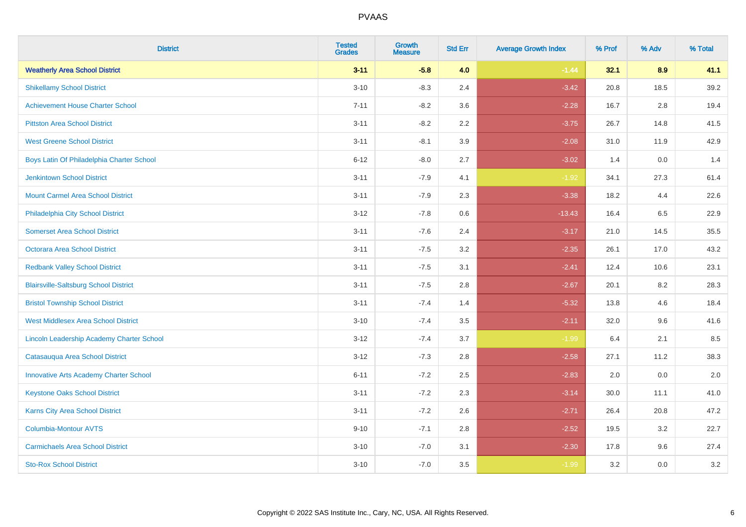| <b>District</b>                               | <b>Tested</b><br><b>Grades</b> | <b>Growth</b><br><b>Measure</b> | <b>Std Err</b> | <b>Average Growth Index</b> | % Prof | % Adv   | % Total |
|-----------------------------------------------|--------------------------------|---------------------------------|----------------|-----------------------------|--------|---------|---------|
| <b>Weatherly Area School District</b>         | $3 - 11$                       | $-5.8$                          | 4.0            | $-1.44$                     | 32.1   | 8.9     | 41.1    |
| <b>Shikellamy School District</b>             | $3 - 10$                       | $-8.3$                          | 2.4            | $-3.42$                     | 20.8   | 18.5    | 39.2    |
| <b>Achievement House Charter School</b>       | $7 - 11$                       | $-8.2$                          | 3.6            | $-2.28$                     | 16.7   | 2.8     | 19.4    |
| <b>Pittston Area School District</b>          | $3 - 11$                       | $-8.2$                          | 2.2            | $-3.75$                     | 26.7   | 14.8    | 41.5    |
| <b>West Greene School District</b>            | $3 - 11$                       | $-8.1$                          | 3.9            | $-2.08$                     | 31.0   | 11.9    | 42.9    |
| Boys Latin Of Philadelphia Charter School     | $6 - 12$                       | $-8.0$                          | 2.7            | $-3.02$                     | 1.4    | 0.0     | 1.4     |
| <b>Jenkintown School District</b>             | $3 - 11$                       | $-7.9$                          | 4.1            | $-1.92$                     | 34.1   | 27.3    | 61.4    |
| <b>Mount Carmel Area School District</b>      | $3 - 11$                       | $-7.9$                          | 2.3            | $-3.38$                     | 18.2   | 4.4     | 22.6    |
| Philadelphia City School District             | $3-12$                         | $-7.8$                          | 0.6            | $-13.43$                    | 16.4   | 6.5     | 22.9    |
| <b>Somerset Area School District</b>          | $3 - 11$                       | $-7.6$                          | 2.4            | $-3.17$                     | 21.0   | 14.5    | 35.5    |
| <b>Octorara Area School District</b>          | $3 - 11$                       | $-7.5$                          | 3.2            | $-2.35$                     | 26.1   | 17.0    | 43.2    |
| <b>Redbank Valley School District</b>         | $3 - 11$                       | $-7.5$                          | 3.1            | $-2.41$                     | 12.4   | 10.6    | 23.1    |
| <b>Blairsville-Saltsburg School District</b>  | $3 - 11$                       | $-7.5$                          | 2.8            | $-2.67$                     | 20.1   | $8.2\,$ | 28.3    |
| <b>Bristol Township School District</b>       | $3 - 11$                       | $-7.4$                          | 1.4            | $-5.32$                     | 13.8   | 4.6     | 18.4    |
| <b>West Middlesex Area School District</b>    | $3 - 10$                       | $-7.4$                          | 3.5            | $-2.11$                     | 32.0   | 9.6     | 41.6    |
| Lincoln Leadership Academy Charter School     | $3 - 12$                       | $-7.4$                          | 3.7            | $-1.99$                     | 6.4    | 2.1     | 8.5     |
| Catasauqua Area School District               | $3 - 12$                       | $-7.3$                          | 2.8            | $-2.58$                     | 27.1   | 11.2    | 38.3    |
| <b>Innovative Arts Academy Charter School</b> | $6 - 11$                       | $-7.2$                          | 2.5            | $-2.83$                     | 2.0    | 0.0     | 2.0     |
| <b>Keystone Oaks School District</b>          | $3 - 11$                       | $-7.2$                          | 2.3            | $-3.14$                     | 30.0   | 11.1    | 41.0    |
| Karns City Area School District               | $3 - 11$                       | $-7.2$                          | 2.6            | $-2.71$                     | 26.4   | 20.8    | 47.2    |
| <b>Columbia-Montour AVTS</b>                  | $9 - 10$                       | $-7.1$                          | 2.8            | $-2.52$                     | 19.5   | 3.2     | 22.7    |
| <b>Carmichaels Area School District</b>       | $3 - 10$                       | $-7.0$                          | 3.1            | $-2.30$                     | 17.8   | 9.6     | 27.4    |
| <b>Sto-Rox School District</b>                | $3 - 10$                       | $-7.0$                          | 3.5            | $-1.99$                     | 3.2    | 0.0     | 3.2     |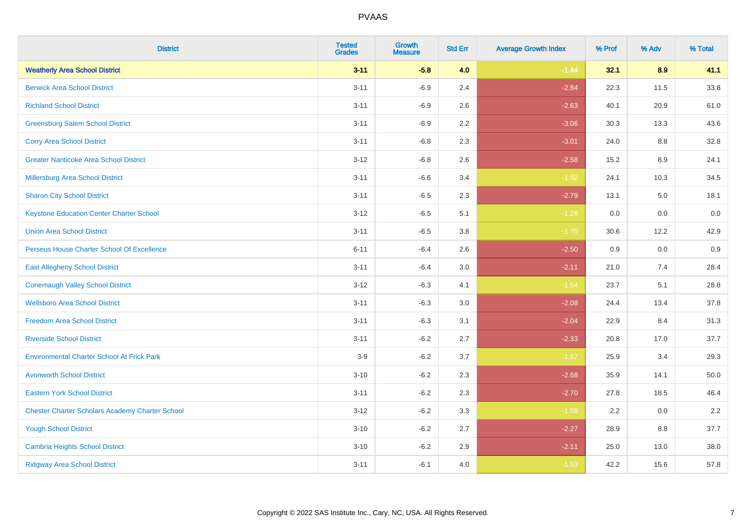| <b>District</b>                                        | <b>Tested</b><br><b>Grades</b> | <b>Growth</b><br><b>Measure</b> | <b>Std Err</b> | <b>Average Growth Index</b> | % Prof | % Adv | % Total |
|--------------------------------------------------------|--------------------------------|---------------------------------|----------------|-----------------------------|--------|-------|---------|
| <b>Weatherly Area School District</b>                  | $3 - 11$                       | $-5.8$                          | 4.0            | $-1.44$                     | 32.1   | 8.9   | 41.1    |
| <b>Berwick Area School District</b>                    | $3 - 11$                       | $-6.9$                          | 2.4            | $-2.84$                     | 22.3   | 11.5  | 33.8    |
| <b>Richland School District</b>                        | $3 - 11$                       | $-6.9$                          | 2.6            | $-2.63$                     | 40.1   | 20.9  | 61.0    |
| <b>Greensburg Salem School District</b>                | $3 - 11$                       | $-6.9$                          | 2.2            | $-3.06$                     | 30.3   | 13.3  | 43.6    |
| <b>Corry Area School District</b>                      | $3 - 11$                       | $-6.8$                          | 2.3            | $-3.01$                     | 24.0   | 8.8   | 32.8    |
| <b>Greater Nanticoke Area School District</b>          | $3 - 12$                       | $-6.8$                          | 2.6            | $-2.58$                     | 15.2   | 8.9   | 24.1    |
| <b>Millersburg Area School District</b>                | $3 - 11$                       | $-6.6$                          | 3.4            | $-1.92$                     | 24.1   | 10.3  | 34.5    |
| <b>Sharon City School District</b>                     | $3 - 11$                       | $-6.5$                          | 2.3            | $-2.79$                     | 13.1   | 5.0   | 18.1    |
| <b>Keystone Education Center Charter School</b>        | $3 - 12$                       | $-6.5$                          | 5.1            | $-1.28$                     | 0.0    | 0.0   | 0.0     |
| <b>Union Area School District</b>                      | $3 - 11$                       | $-6.5$                          | 3.8            | $-1.70$                     | 30.6   | 12.2  | 42.9    |
| Perseus House Charter School Of Excellence             | $6 - 11$                       | $-6.4$                          | 2.6            | $-2.50$                     | 0.9    | 0.0   | 0.9     |
| <b>East Allegheny School District</b>                  | $3 - 11$                       | $-6.4$                          | 3.0            | $-2.11$                     | 21.0   | 7.4   | 28.4    |
| <b>Conemaugh Valley School District</b>                | $3 - 12$                       | $-6.3$                          | 4.1            | $-1.54$                     | 23.7   | 5.1   | 28.8    |
| <b>Wellsboro Area School District</b>                  | $3 - 11$                       | $-6.3$                          | 3.0            | $-2.08$                     | 24.4   | 13.4  | 37.8    |
| <b>Freedom Area School District</b>                    | $3 - 11$                       | $-6.3$                          | 3.1            | $-2.04$                     | 22.9   | 8.4   | 31.3    |
| <b>Riverside School District</b>                       | $3 - 11$                       | $-6.2$                          | 2.7            | $-2.33$                     | 20.8   | 17.0  | 37.7    |
| <b>Environmental Charter School At Frick Park</b>      | $3-9$                          | $-6.2$                          | 3.7            | $-1.67$                     | 25.9   | 3.4   | 29.3    |
| <b>Avonworth School District</b>                       | $3 - 10$                       | $-6.2$                          | 2.3            | $-2.68$                     | 35.9   | 14.1  | 50.0    |
| <b>Eastern York School District</b>                    | $3 - 11$                       | $-6.2$                          | 2.3            | $-2.70$                     | 27.8   | 18.5  | 46.4    |
| <b>Chester Charter Scholars Academy Charter School</b> | $3-12$                         | $-6.2$                          | 3.3            | $-1.88$                     | 2.2    | 0.0   | 2.2     |
| <b>Yough School District</b>                           | $3 - 10$                       | $-6.2$                          | 2.7            | $-2.27$                     | 28.9   | 8.8   | 37.7    |
| <b>Cambria Heights School District</b>                 | $3 - 10$                       | $-6.2$                          | 2.9            | $-2.11$                     | 25.0   | 13.0  | 38.0    |
| <b>Ridgway Area School District</b>                    | $3 - 11$                       | $-6.1$                          | 4.0            | $-1.53$                     | 42.2   | 15.6  | 57.8    |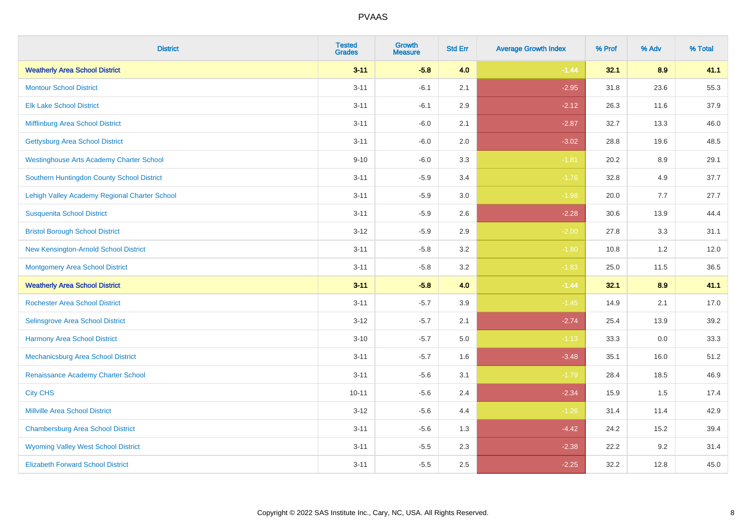| <b>District</b>                                 | <b>Tested</b><br><b>Grades</b> | <b>Growth</b><br><b>Measure</b> | <b>Std Err</b> | <b>Average Growth Index</b> | % Prof | % Adv | % Total |
|-------------------------------------------------|--------------------------------|---------------------------------|----------------|-----------------------------|--------|-------|---------|
| <b>Weatherly Area School District</b>           | $3 - 11$                       | $-5.8$                          | 4.0            | $-1.44$                     | 32.1   | 8.9   | 41.1    |
| <b>Montour School District</b>                  | $3 - 11$                       | $-6.1$                          | 2.1            | $-2.95$                     | 31.8   | 23.6  | 55.3    |
| <b>Elk Lake School District</b>                 | $3 - 11$                       | $-6.1$                          | 2.9            | $-2.12$                     | 26.3   | 11.6  | 37.9    |
| Mifflinburg Area School District                | $3 - 11$                       | $-6.0$                          | 2.1            | $-2.87$                     | 32.7   | 13.3  | 46.0    |
| <b>Gettysburg Area School District</b>          | $3 - 11$                       | $-6.0$                          | 2.0            | $-3.02$                     | 28.8   | 19.6  | 48.5    |
| <b>Westinghouse Arts Academy Charter School</b> | $9 - 10$                       | $-6.0$                          | 3.3            | $-1.81$                     | 20.2   | 8.9   | 29.1    |
| Southern Huntingdon County School District      | $3 - 11$                       | $-5.9$                          | 3.4            | $-1.76$                     | 32.8   | 4.9   | 37.7    |
| Lehigh Valley Academy Regional Charter School   | $3 - 11$                       | $-5.9$                          | 3.0            | $-1.98$                     | 20.0   | 7.7   | 27.7    |
| <b>Susquenita School District</b>               | $3 - 11$                       | $-5.9$                          | 2.6            | $-2.28$                     | 30.6   | 13.9  | 44.4    |
| <b>Bristol Borough School District</b>          | $3 - 12$                       | $-5.9$                          | 2.9            | $-2.00$                     | 27.8   | 3.3   | 31.1    |
| New Kensington-Arnold School District           | $3 - 11$                       | $-5.8$                          | 3.2            | $-1.80$                     | 10.8   | 1.2   | 12.0    |
| <b>Montgomery Area School District</b>          | $3 - 11$                       | $-5.8$                          | 3.2            | $-1.83$                     | 25.0   | 11.5  | 36.5    |
| <b>Weatherly Area School District</b>           | $3 - 11$                       | $-5.8$                          | 4.0            | $-1.44$                     | 32.1   | 8.9   | 41.1    |
| <b>Rochester Area School District</b>           | $3 - 11$                       | $-5.7$                          | 3.9            | $-1.45$                     | 14.9   | 2.1   | 17.0    |
| Selinsgrove Area School District                | $3 - 12$                       | $-5.7$                          | 2.1            | $-2.74$                     | 25.4   | 13.9  | 39.2    |
| <b>Harmony Area School District</b>             | $3 - 10$                       | $-5.7$                          | 5.0            | $-1.13$                     | 33.3   | 0.0   | 33.3    |
| Mechanicsburg Area School District              | $3 - 11$                       | $-5.7$                          | 1.6            | $-3.48$                     | 35.1   | 16.0  | 51.2    |
| Renaissance Academy Charter School              | $3 - 11$                       | $-5.6$                          | 3.1            | $-1.79$                     | 28.4   | 18.5  | 46.9    |
| <b>City CHS</b>                                 | $10 - 11$                      | $-5.6$                          | 2.4            | $-2.34$                     | 15.9   | 1.5   | 17.4    |
| <b>Millville Area School District</b>           | $3 - 12$                       | $-5.6$                          | 4.4            | $-1.26$                     | 31.4   | 11.4  | 42.9    |
| <b>Chambersburg Area School District</b>        | $3 - 11$                       | $-5.6$                          | 1.3            | $-4.42$                     | 24.2   | 15.2  | 39.4    |
| <b>Wyoming Valley West School District</b>      | $3 - 11$                       | $-5.5$                          | 2.3            | $-2.38$                     | 22.2   | 9.2   | 31.4    |
| <b>Elizabeth Forward School District</b>        | $3 - 11$                       | $-5.5$                          | 2.5            | $-2.25$                     | 32.2   | 12.8  | 45.0    |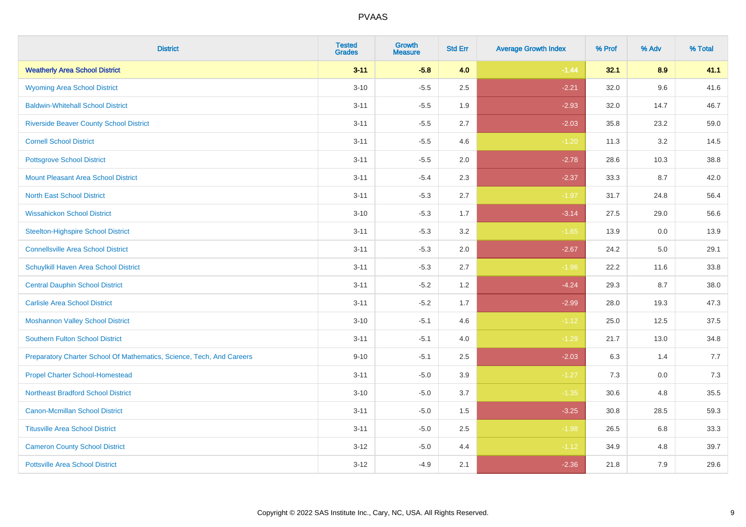| <b>District</b>                                                       | <b>Tested</b><br><b>Grades</b> | <b>Growth</b><br><b>Measure</b> | <b>Std Err</b> | <b>Average Growth Index</b> | % Prof | % Adv | % Total |
|-----------------------------------------------------------------------|--------------------------------|---------------------------------|----------------|-----------------------------|--------|-------|---------|
| <b>Weatherly Area School District</b>                                 | $3 - 11$                       | $-5.8$                          | 4.0            | $-1.44$                     | 32.1   | 8.9   | 41.1    |
| <b>Wyoming Area School District</b>                                   | $3 - 10$                       | $-5.5$                          | 2.5            | $-2.21$                     | 32.0   | 9.6   | 41.6    |
| <b>Baldwin-Whitehall School District</b>                              | $3 - 11$                       | $-5.5$                          | 1.9            | $-2.93$                     | 32.0   | 14.7  | 46.7    |
| <b>Riverside Beaver County School District</b>                        | $3 - 11$                       | $-5.5$                          | 2.7            | $-2.03$                     | 35.8   | 23.2  | 59.0    |
| <b>Cornell School District</b>                                        | $3 - 11$                       | $-5.5$                          | 4.6            | $-1.20$                     | 11.3   | 3.2   | 14.5    |
| <b>Pottsgrove School District</b>                                     | $3 - 11$                       | $-5.5$                          | 2.0            | $-2.78$                     | 28.6   | 10.3  | 38.8    |
| Mount Pleasant Area School District                                   | $3 - 11$                       | $-5.4$                          | 2.3            | $-2.37$                     | 33.3   | 8.7   | 42.0    |
| <b>North East School District</b>                                     | $3 - 11$                       | $-5.3$                          | 2.7            | $-1.97$                     | 31.7   | 24.8  | 56.4    |
| <b>Wissahickon School District</b>                                    | $3 - 10$                       | $-5.3$                          | 1.7            | $-3.14$                     | 27.5   | 29.0  | 56.6    |
| <b>Steelton-Highspire School District</b>                             | $3 - 11$                       | $-5.3$                          | 3.2            | $-1.65$                     | 13.9   | 0.0   | 13.9    |
| <b>Connellsville Area School District</b>                             | $3 - 11$                       | $-5.3$                          | 2.0            | $-2.67$                     | 24.2   | 5.0   | 29.1    |
| <b>Schuylkill Haven Area School District</b>                          | $3 - 11$                       | $-5.3$                          | 2.7            | $-1.96$                     | 22.2   | 11.6  | 33.8    |
| <b>Central Dauphin School District</b>                                | $3 - 11$                       | $-5.2$                          | 1.2            | $-4.24$                     | 29.3   | 8.7   | 38.0    |
| <b>Carlisle Area School District</b>                                  | $3 - 11$                       | $-5.2$                          | 1.7            | $-2.99$                     | 28.0   | 19.3  | 47.3    |
| <b>Moshannon Valley School District</b>                               | $3 - 10$                       | $-5.1$                          | 4.6            | $-1.12$                     | 25.0   | 12.5  | 37.5    |
| <b>Southern Fulton School District</b>                                | $3 - 11$                       | $-5.1$                          | 4.0            | $-1.29$                     | 21.7   | 13.0  | 34.8    |
| Preparatory Charter School Of Mathematics, Science, Tech, And Careers | $9 - 10$                       | $-5.1$                          | 2.5            | $-2.03$                     | 6.3    | 1.4   | 7.7     |
| <b>Propel Charter School-Homestead</b>                                | $3 - 11$                       | $-5.0$                          | 3.9            | $-1.27$                     | 7.3    | 0.0   | 7.3     |
| <b>Northeast Bradford School District</b>                             | $3 - 10$                       | $-5.0$                          | 3.7            | $-1.35$                     | 30.6   | 4.8   | 35.5    |
| <b>Canon-Mcmillan School District</b>                                 | $3 - 11$                       | $-5.0$                          | 1.5            | $-3.25$                     | 30.8   | 28.5  | 59.3    |
| <b>Titusville Area School District</b>                                | $3 - 11$                       | $-5.0$                          | 2.5            | $-1.98$                     | 26.5   | 6.8   | 33.3    |
| <b>Cameron County School District</b>                                 | $3-12$                         | $-5.0$                          | 4.4            | $-1.12$                     | 34.9   | 4.8   | 39.7    |
| <b>Pottsville Area School District</b>                                | $3-12$                         | $-4.9$                          | 2.1            | $-2.36$                     | 21.8   | 7.9   | 29.6    |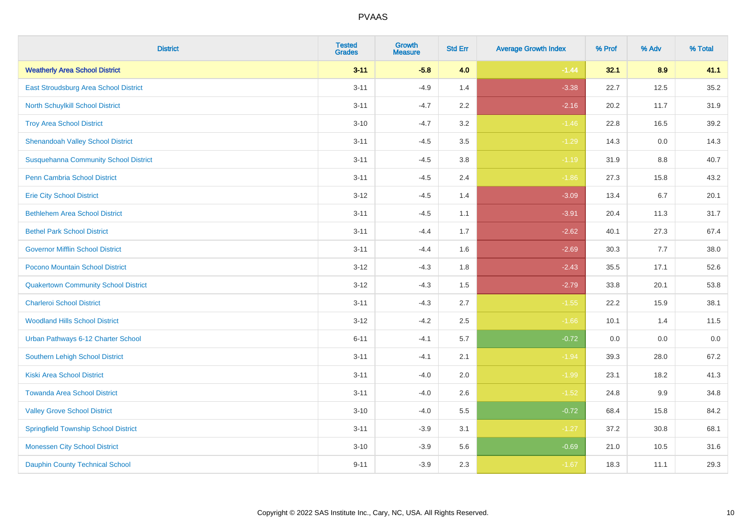| <b>District</b>                              | <b>Tested</b><br><b>Grades</b> | <b>Growth</b><br><b>Measure</b> | <b>Std Err</b> | <b>Average Growth Index</b> | % Prof | % Adv | % Total |
|----------------------------------------------|--------------------------------|---------------------------------|----------------|-----------------------------|--------|-------|---------|
| <b>Weatherly Area School District</b>        | $3 - 11$                       | $-5.8$                          | 4.0            | $-1.44$                     | 32.1   | 8.9   | 41.1    |
| East Stroudsburg Area School District        | $3 - 11$                       | $-4.9$                          | 1.4            | $-3.38$                     | 22.7   | 12.5  | 35.2    |
| <b>North Schuylkill School District</b>      | $3 - 11$                       | $-4.7$                          | 2.2            | $-2.16$                     | 20.2   | 11.7  | 31.9    |
| <b>Troy Area School District</b>             | $3 - 10$                       | $-4.7$                          | 3.2            | $-1.46$                     | 22.8   | 16.5  | 39.2    |
| <b>Shenandoah Valley School District</b>     | $3 - 11$                       | $-4.5$                          | 3.5            | $-1.29$                     | 14.3   | 0.0   | 14.3    |
| <b>Susquehanna Community School District</b> | $3 - 11$                       | $-4.5$                          | 3.8            | $-1.19$                     | 31.9   | 8.8   | 40.7    |
| <b>Penn Cambria School District</b>          | $3 - 11$                       | $-4.5$                          | 2.4            | $-1.86$                     | 27.3   | 15.8  | 43.2    |
| <b>Erie City School District</b>             | $3 - 12$                       | $-4.5$                          | 1.4            | $-3.09$                     | 13.4   | 6.7   | 20.1    |
| <b>Bethlehem Area School District</b>        | $3 - 11$                       | $-4.5$                          | 1.1            | $-3.91$                     | 20.4   | 11.3  | 31.7    |
| <b>Bethel Park School District</b>           | $3 - 11$                       | $-4.4$                          | 1.7            | $-2.62$                     | 40.1   | 27.3  | 67.4    |
| <b>Governor Mifflin School District</b>      | $3 - 11$                       | $-4.4$                          | 1.6            | $-2.69$                     | 30.3   | 7.7   | 38.0    |
| Pocono Mountain School District              | $3 - 12$                       | $-4.3$                          | 1.8            | $-2.43$                     | 35.5   | 17.1  | 52.6    |
| <b>Quakertown Community School District</b>  | $3 - 12$                       | $-4.3$                          | 1.5            | $-2.79$                     | 33.8   | 20.1  | 53.8    |
| <b>Charleroi School District</b>             | $3 - 11$                       | $-4.3$                          | 2.7            | $-1.55$                     | 22.2   | 15.9  | 38.1    |
| <b>Woodland Hills School District</b>        | $3 - 12$                       | $-4.2$                          | 2.5            | $-1.66$                     | 10.1   | 1.4   | 11.5    |
| Urban Pathways 6-12 Charter School           | $6 - 11$                       | $-4.1$                          | 5.7            | $-0.72$                     | 0.0    | 0.0   | 0.0     |
| <b>Southern Lehigh School District</b>       | $3 - 11$                       | $-4.1$                          | 2.1            | $-1.94$                     | 39.3   | 28.0  | 67.2    |
| <b>Kiski Area School District</b>            | $3 - 11$                       | $-4.0$                          | 2.0            | $-1.99$                     | 23.1   | 18.2  | 41.3    |
| <b>Towanda Area School District</b>          | $3 - 11$                       | $-4.0$                          | 2.6            | $-1.52$                     | 24.8   | 9.9   | 34.8    |
| <b>Valley Grove School District</b>          | $3 - 10$                       | $-4.0$                          | 5.5            | $-0.72$                     | 68.4   | 15.8  | 84.2    |
| <b>Springfield Township School District</b>  | $3 - 11$                       | $-3.9$                          | 3.1            | $-1.27$                     | 37.2   | 30.8  | 68.1    |
| <b>Monessen City School District</b>         | $3 - 10$                       | $-3.9$                          | 5.6            | $-0.69$                     | 21.0   | 10.5  | 31.6    |
| <b>Dauphin County Technical School</b>       | $9 - 11$                       | $-3.9$                          | 2.3            | $-1.67$                     | 18.3   | 11.1  | 29.3    |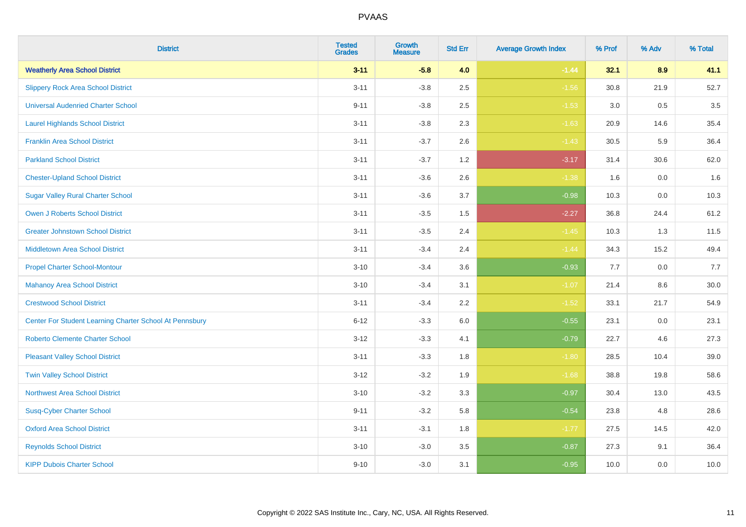| <b>District</b>                                         | <b>Tested</b><br><b>Grades</b> | <b>Growth</b><br><b>Measure</b> | <b>Std Err</b> | <b>Average Growth Index</b> | % Prof | % Adv   | % Total  |
|---------------------------------------------------------|--------------------------------|---------------------------------|----------------|-----------------------------|--------|---------|----------|
| <b>Weatherly Area School District</b>                   | $3 - 11$                       | $-5.8$                          | 4.0            | $-1.44$                     | 32.1   | 8.9     | 41.1     |
| <b>Slippery Rock Area School District</b>               | $3 - 11$                       | $-3.8$                          | 2.5            | $-1.56$                     | 30.8   | 21.9    | 52.7     |
| <b>Universal Audenried Charter School</b>               | $9 - 11$                       | $-3.8$                          | 2.5            | $-1.53$                     | 3.0    | 0.5     | 3.5      |
| <b>Laurel Highlands School District</b>                 | $3 - 11$                       | $-3.8$                          | 2.3            | $-1.63$                     | 20.9   | 14.6    | 35.4     |
| <b>Franklin Area School District</b>                    | $3 - 11$                       | $-3.7$                          | 2.6            | $-1.43$                     | 30.5   | 5.9     | 36.4     |
| <b>Parkland School District</b>                         | $3 - 11$                       | $-3.7$                          | 1.2            | $-3.17$                     | 31.4   | 30.6    | 62.0     |
| <b>Chester-Upland School District</b>                   | $3 - 11$                       | $-3.6$                          | 2.6            | $-1.38$                     | 1.6    | 0.0     | 1.6      |
| <b>Sugar Valley Rural Charter School</b>                | $3 - 11$                       | $-3.6$                          | 3.7            | $-0.98$                     | 10.3   | 0.0     | 10.3     |
| <b>Owen J Roberts School District</b>                   | $3 - 11$                       | $-3.5$                          | 1.5            | $-2.27$                     | 36.8   | 24.4    | 61.2     |
| <b>Greater Johnstown School District</b>                | $3 - 11$                       | $-3.5$                          | 2.4            | $-1.45$                     | 10.3   | 1.3     | 11.5     |
| <b>Middletown Area School District</b>                  | $3 - 11$                       | $-3.4$                          | 2.4            | $-1.44$                     | 34.3   | 15.2    | 49.4     |
| <b>Propel Charter School-Montour</b>                    | $3 - 10$                       | $-3.4$                          | 3.6            | $-0.93$                     | 7.7    | 0.0     | 7.7      |
| <b>Mahanoy Area School District</b>                     | $3 - 10$                       | $-3.4$                          | 3.1            | $-1.07$                     | 21.4   | $8.6\,$ | $30.0\,$ |
| <b>Crestwood School District</b>                        | $3 - 11$                       | $-3.4$                          | 2.2            | $-1.52$                     | 33.1   | 21.7    | 54.9     |
| Center For Student Learning Charter School At Pennsbury | $6 - 12$                       | $-3.3$                          | 6.0            | $-0.55$                     | 23.1   | 0.0     | 23.1     |
| <b>Roberto Clemente Charter School</b>                  | $3 - 12$                       | $-3.3$                          | 4.1            | $-0.79$                     | 22.7   | 4.6     | 27.3     |
| <b>Pleasant Valley School District</b>                  | $3 - 11$                       | $-3.3$                          | 1.8            | $-1.80$                     | 28.5   | 10.4    | 39.0     |
| <b>Twin Valley School District</b>                      | $3 - 12$                       | $-3.2$                          | 1.9            | $-1.68$                     | 38.8   | 19.8    | 58.6     |
| <b>Northwest Area School District</b>                   | $3 - 10$                       | $-3.2$                          | 3.3            | $-0.97$                     | 30.4   | 13.0    | 43.5     |
| <b>Susq-Cyber Charter School</b>                        | $9 - 11$                       | $-3.2$                          | 5.8            | $-0.54$                     | 23.8   | 4.8     | 28.6     |
| <b>Oxford Area School District</b>                      | $3 - 11$                       | $-3.1$                          | 1.8            | $-1.77$                     | 27.5   | 14.5    | 42.0     |
| <b>Reynolds School District</b>                         | $3 - 10$                       | $-3.0$                          | 3.5            | $-0.87$                     | 27.3   | 9.1     | 36.4     |
| <b>KIPP Dubois Charter School</b>                       | $9 - 10$                       | $-3.0$                          | 3.1            | $-0.95$                     | 10.0   | 0.0     | 10.0     |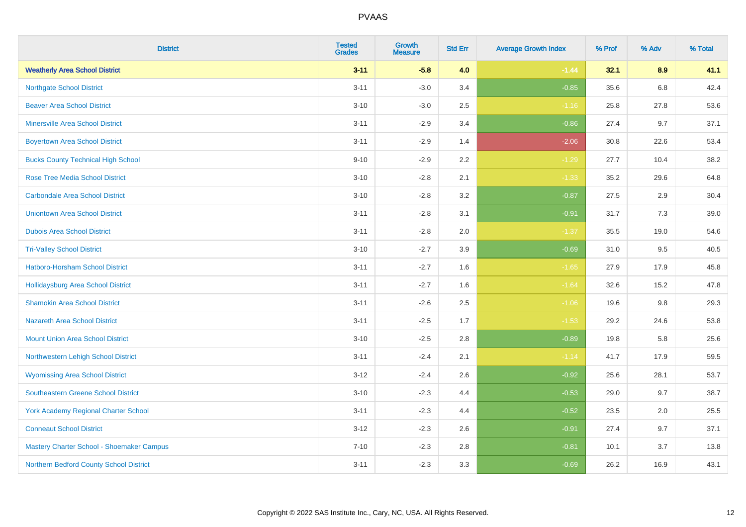| <b>District</b>                             | <b>Tested</b><br><b>Grades</b> | <b>Growth</b><br><b>Measure</b> | <b>Std Err</b> | <b>Average Growth Index</b> | % Prof | % Adv   | % Total |
|---------------------------------------------|--------------------------------|---------------------------------|----------------|-----------------------------|--------|---------|---------|
| <b>Weatherly Area School District</b>       | $3 - 11$                       | $-5.8$                          | 4.0            | $-1.44$                     | 32.1   | 8.9     | 41.1    |
| <b>Northgate School District</b>            | $3 - 11$                       | $-3.0$                          | 3.4            | $-0.85$                     | 35.6   | $6.8\,$ | 42.4    |
| <b>Beaver Area School District</b>          | $3 - 10$                       | $-3.0$                          | 2.5            | $-1.16$                     | 25.8   | 27.8    | 53.6    |
| <b>Minersville Area School District</b>     | $3 - 11$                       | $-2.9$                          | 3.4            | $-0.86$                     | 27.4   | 9.7     | 37.1    |
| <b>Boyertown Area School District</b>       | $3 - 11$                       | $-2.9$                          | 1.4            | $-2.06$                     | 30.8   | 22.6    | 53.4    |
| <b>Bucks County Technical High School</b>   | $9 - 10$                       | $-2.9$                          | 2.2            | $-1.29$                     | 27.7   | 10.4    | 38.2    |
| <b>Rose Tree Media School District</b>      | $3 - 10$                       | $-2.8$                          | 2.1            | $-1.33$                     | 35.2   | 29.6    | 64.8    |
| <b>Carbondale Area School District</b>      | $3 - 10$                       | $-2.8$                          | 3.2            | $-0.87$                     | 27.5   | 2.9     | 30.4    |
| <b>Uniontown Area School District</b>       | $3 - 11$                       | $-2.8$                          | 3.1            | $-0.91$                     | 31.7   | $7.3$   | 39.0    |
| <b>Dubois Area School District</b>          | $3 - 11$                       | $-2.8$                          | 2.0            | $-1.37$                     | 35.5   | 19.0    | 54.6    |
| <b>Tri-Valley School District</b>           | $3 - 10$                       | $-2.7$                          | 3.9            | $-0.69$                     | 31.0   | 9.5     | 40.5    |
| <b>Hatboro-Horsham School District</b>      | $3 - 11$                       | $-2.7$                          | 1.6            | $-1.65$                     | 27.9   | 17.9    | 45.8    |
| <b>Hollidaysburg Area School District</b>   | $3 - 11$                       | $-2.7$                          | 1.6            | $-1.64$                     | 32.6   | 15.2    | 47.8    |
| <b>Shamokin Area School District</b>        | $3 - 11$                       | $-2.6$                          | 2.5            | $-1.06$                     | 19.6   | 9.8     | 29.3    |
| <b>Nazareth Area School District</b>        | $3 - 11$                       | $-2.5$                          | 1.7            | $-1.53$                     | 29.2   | 24.6    | 53.8    |
| <b>Mount Union Area School District</b>     | $3 - 10$                       | $-2.5$                          | 2.8            | $-0.89$                     | 19.8   | 5.8     | 25.6    |
| Northwestern Lehigh School District         | $3 - 11$                       | $-2.4$                          | 2.1            | $-1.14$                     | 41.7   | 17.9    | 59.5    |
| <b>Wyomissing Area School District</b>      | $3 - 12$                       | $-2.4$                          | 2.6            | $-0.92$                     | 25.6   | 28.1    | 53.7    |
| <b>Southeastern Greene School District</b>  | $3 - 10$                       | $-2.3$                          | 4.4            | $-0.53$                     | 29.0   | 9.7     | 38.7    |
| <b>York Academy Regional Charter School</b> | $3 - 11$                       | $-2.3$                          | 4.4            | $-0.52$                     | 23.5   | 2.0     | 25.5    |
| <b>Conneaut School District</b>             | $3 - 12$                       | $-2.3$                          | 2.6            | $-0.91$                     | 27.4   | 9.7     | 37.1    |
| Mastery Charter School - Shoemaker Campus   | $7 - 10$                       | $-2.3$                          | 2.8            | $-0.81$                     | 10.1   | 3.7     | 13.8    |
| Northern Bedford County School District     | $3 - 11$                       | $-2.3$                          | 3.3            | $-0.69$                     | 26.2   | 16.9    | 43.1    |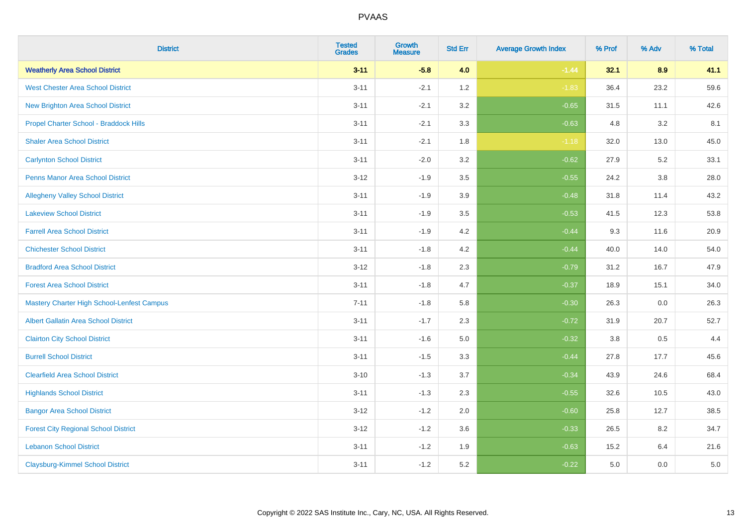| <b>District</b>                                   | <b>Tested</b><br><b>Grades</b> | Growth<br><b>Measure</b> | <b>Std Err</b> | <b>Average Growth Index</b> | % Prof | % Adv   | % Total |
|---------------------------------------------------|--------------------------------|--------------------------|----------------|-----------------------------|--------|---------|---------|
| <b>Weatherly Area School District</b>             | $3 - 11$                       | $-5.8$                   | 4.0            | $-1.44$                     | 32.1   | 8.9     | 41.1    |
| <b>West Chester Area School District</b>          | $3 - 11$                       | $-2.1$                   | 1.2            | $-1.83$                     | 36.4   | 23.2    | 59.6    |
| New Brighton Area School District                 | $3 - 11$                       | $-2.1$                   | 3.2            | $-0.65$                     | 31.5   | 11.1    | 42.6    |
| Propel Charter School - Braddock Hills            | $3 - 11$                       | $-2.1$                   | 3.3            | $-0.63$                     | 4.8    | 3.2     | 8.1     |
| <b>Shaler Area School District</b>                | $3 - 11$                       | $-2.1$                   | 1.8            | $-1.18$                     | 32.0   | 13.0    | 45.0    |
| <b>Carlynton School District</b>                  | $3 - 11$                       | $-2.0$                   | 3.2            | $-0.62$                     | 27.9   | 5.2     | 33.1    |
| <b>Penns Manor Area School District</b>           | $3-12$                         | $-1.9$                   | 3.5            | $-0.55$                     | 24.2   | $3.8\,$ | 28.0    |
| <b>Allegheny Valley School District</b>           | $3 - 11$                       | $-1.9$                   | 3.9            | $-0.48$                     | 31.8   | 11.4    | 43.2    |
| <b>Lakeview School District</b>                   | $3 - 11$                       | $-1.9$                   | 3.5            | $-0.53$                     | 41.5   | 12.3    | 53.8    |
| <b>Farrell Area School District</b>               | $3 - 11$                       | $-1.9$                   | 4.2            | $-0.44$                     | 9.3    | 11.6    | 20.9    |
| <b>Chichester School District</b>                 | $3 - 11$                       | $-1.8$                   | 4.2            | $-0.44$                     | 40.0   | 14.0    | 54.0    |
| <b>Bradford Area School District</b>              | $3 - 12$                       | $-1.8$                   | 2.3            | $-0.79$                     | 31.2   | 16.7    | 47.9    |
| <b>Forest Area School District</b>                | $3 - 11$                       | $-1.8$                   | 4.7            | $-0.37$                     | 18.9   | 15.1    | 34.0    |
| <b>Mastery Charter High School-Lenfest Campus</b> | $7 - 11$                       | $-1.8$                   | 5.8            | $-0.30$                     | 26.3   | 0.0     | 26.3    |
| <b>Albert Gallatin Area School District</b>       | $3 - 11$                       | $-1.7$                   | 2.3            | $-0.72$                     | 31.9   | 20.7    | 52.7    |
| <b>Clairton City School District</b>              | $3 - 11$                       | $-1.6$                   | 5.0            | $-0.32$                     | 3.8    | 0.5     | 4.4     |
| <b>Burrell School District</b>                    | $3 - 11$                       | $-1.5$                   | 3.3            | $-0.44$                     | 27.8   | 17.7    | 45.6    |
| <b>Clearfield Area School District</b>            | $3 - 10$                       | $-1.3$                   | 3.7            | $-0.34$                     | 43.9   | 24.6    | 68.4    |
| <b>Highlands School District</b>                  | $3 - 11$                       | $-1.3$                   | 2.3            | $-0.55$                     | 32.6   | 10.5    | 43.0    |
| <b>Bangor Area School District</b>                | $3 - 12$                       | $-1.2$                   | 2.0            | $-0.60$                     | 25.8   | 12.7    | 38.5    |
| <b>Forest City Regional School District</b>       | $3 - 12$                       | $-1.2$                   | 3.6            | $-0.33$                     | 26.5   | 8.2     | 34.7    |
| <b>Lebanon School District</b>                    | $3 - 11$                       | $-1.2$                   | 1.9            | $-0.63$                     | 15.2   | 6.4     | 21.6    |
| <b>Claysburg-Kimmel School District</b>           | $3 - 11$                       | $-1.2$                   | 5.2            | $-0.22$                     | 5.0    | 0.0     | 5.0     |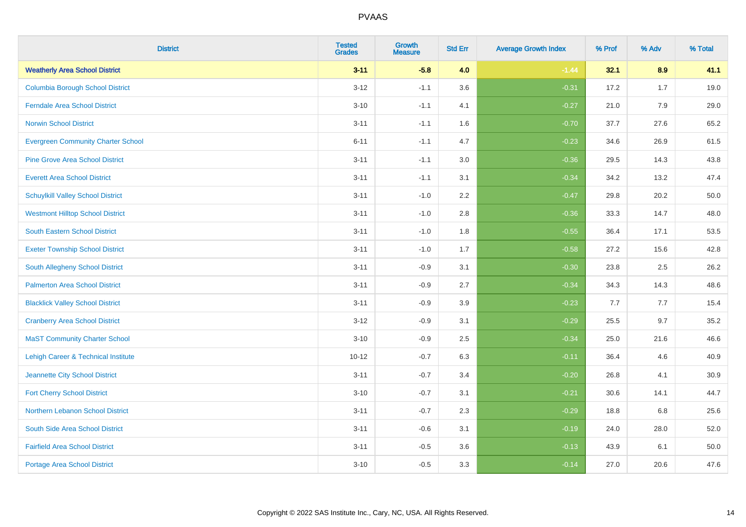| <b>District</b>                           | <b>Tested</b><br><b>Grades</b> | <b>Growth</b><br><b>Measure</b> | <b>Std Err</b> | <b>Average Growth Index</b> | % Prof | % Adv | % Total |
|-------------------------------------------|--------------------------------|---------------------------------|----------------|-----------------------------|--------|-------|---------|
| <b>Weatherly Area School District</b>     | $3 - 11$                       | $-5.8$                          | 4.0            | $-1.44$                     | 32.1   | 8.9   | 41.1    |
| <b>Columbia Borough School District</b>   | $3 - 12$                       | $-1.1$                          | 3.6            | $-0.31$                     | 17.2   | 1.7   | 19.0    |
| <b>Ferndale Area School District</b>      | $3 - 10$                       | $-1.1$                          | 4.1            | $-0.27$                     | 21.0   | 7.9   | 29.0    |
| <b>Norwin School District</b>             | $3 - 11$                       | $-1.1$                          | 1.6            | $-0.70$                     | 37.7   | 27.6  | 65.2    |
| <b>Evergreen Community Charter School</b> | $6 - 11$                       | $-1.1$                          | 4.7            | $-0.23$                     | 34.6   | 26.9  | 61.5    |
| <b>Pine Grove Area School District</b>    | $3 - 11$                       | $-1.1$                          | 3.0            | $-0.36$                     | 29.5   | 14.3  | 43.8    |
| <b>Everett Area School District</b>       | $3 - 11$                       | $-1.1$                          | 3.1            | $-0.34$                     | 34.2   | 13.2  | 47.4    |
| <b>Schuylkill Valley School District</b>  | $3 - 11$                       | $-1.0$                          | 2.2            | $-0.47$                     | 29.8   | 20.2  | 50.0    |
| <b>Westmont Hilltop School District</b>   | $3 - 11$                       | $-1.0$                          | 2.8            | $-0.36$                     | 33.3   | 14.7  | 48.0    |
| <b>South Eastern School District</b>      | $3 - 11$                       | $-1.0$                          | 1.8            | $-0.55$                     | 36.4   | 17.1  | 53.5    |
| <b>Exeter Township School District</b>    | $3 - 11$                       | $-1.0$                          | 1.7            | $-0.58$                     | 27.2   | 15.6  | 42.8    |
| South Allegheny School District           | $3 - 11$                       | $-0.9$                          | 3.1            | $-0.30$                     | 23.8   | 2.5   | 26.2    |
| <b>Palmerton Area School District</b>     | $3 - 11$                       | $-0.9$                          | 2.7            | $-0.34$                     | 34.3   | 14.3  | 48.6    |
| <b>Blacklick Valley School District</b>   | $3 - 11$                       | $-0.9$                          | 3.9            | $-0.23$                     | 7.7    | 7.7   | 15.4    |
| <b>Cranberry Area School District</b>     | $3-12$                         | $-0.9$                          | 3.1            | $-0.29$                     | 25.5   | 9.7   | 35.2    |
| <b>MaST Community Charter School</b>      | $3 - 10$                       | $-0.9$                          | 2.5            | $-0.34$                     | 25.0   | 21.6  | 46.6    |
| Lehigh Career & Technical Institute       | $10 - 12$                      | $-0.7$                          | 6.3            | $-0.11$                     | 36.4   | 4.6   | 40.9    |
| Jeannette City School District            | $3 - 11$                       | $-0.7$                          | 3.4            | $-0.20$                     | 26.8   | 4.1   | 30.9    |
| <b>Fort Cherry School District</b>        | $3 - 10$                       | $-0.7$                          | 3.1            | $-0.21$                     | 30.6   | 14.1  | 44.7    |
| Northern Lebanon School District          | $3 - 11$                       | $-0.7$                          | 2.3            | $-0.29$                     | 18.8   | 6.8   | 25.6    |
| South Side Area School District           | $3 - 11$                       | $-0.6$                          | 3.1            | $-0.19$                     | 24.0   | 28.0  | 52.0    |
| <b>Fairfield Area School District</b>     | $3 - 11$                       | $-0.5$                          | 3.6            | $-0.13$                     | 43.9   | 6.1   | 50.0    |
| Portage Area School District              | $3 - 10$                       | $-0.5$                          | 3.3            | $-0.14$                     | 27.0   | 20.6  | 47.6    |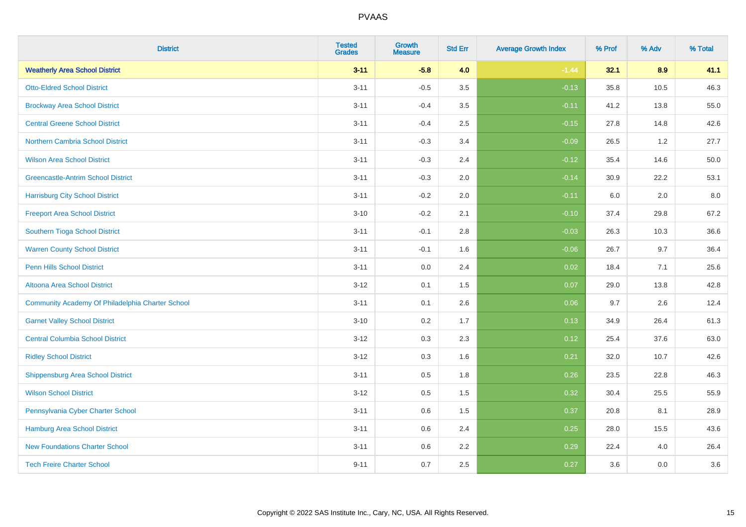| <b>District</b>                                  | <b>Tested</b><br><b>Grades</b> | <b>Growth</b><br><b>Measure</b> | <b>Std Err</b> | <b>Average Growth Index</b> | % Prof | % Adv | % Total |
|--------------------------------------------------|--------------------------------|---------------------------------|----------------|-----------------------------|--------|-------|---------|
| <b>Weatherly Area School District</b>            | $3 - 11$                       | $-5.8$                          | 4.0            | $-1.44$                     | 32.1   | 8.9   | 41.1    |
| <b>Otto-Eldred School District</b>               | $3 - 11$                       | $-0.5$                          | 3.5            | $-0.13$                     | 35.8   | 10.5  | 46.3    |
| <b>Brockway Area School District</b>             | $3 - 11$                       | $-0.4$                          | 3.5            | $-0.11$                     | 41.2   | 13.8  | 55.0    |
| <b>Central Greene School District</b>            | $3 - 11$                       | $-0.4$                          | 2.5            | $-0.15$                     | 27.8   | 14.8  | 42.6    |
| Northern Cambria School District                 | $3 - 11$                       | $-0.3$                          | 3.4            | $-0.09$                     | 26.5   | 1.2   | 27.7    |
| <b>Wilson Area School District</b>               | $3 - 11$                       | $-0.3$                          | 2.4            | $-0.12$                     | 35.4   | 14.6  | 50.0    |
| <b>Greencastle-Antrim School District</b>        | $3 - 11$                       | $-0.3$                          | 2.0            | $-0.14$                     | 30.9   | 22.2  | 53.1    |
| <b>Harrisburg City School District</b>           | $3 - 11$                       | $-0.2$                          | 2.0            | $-0.11$                     | 6.0    | 2.0   | 8.0     |
| <b>Freeport Area School District</b>             | $3 - 10$                       | $-0.2$                          | 2.1            | $-0.10$                     | 37.4   | 29.8  | 67.2    |
| Southern Tioga School District                   | $3 - 11$                       | $-0.1$                          | 2.8            | $-0.03$                     | 26.3   | 10.3  | 36.6    |
| <b>Warren County School District</b>             | $3 - 11$                       | $-0.1$                          | 1.6            | $-0.06$                     | 26.7   | 9.7   | 36.4    |
| <b>Penn Hills School District</b>                | $3 - 11$                       | 0.0                             | 2.4            | 0.02                        | 18.4   | 7.1   | 25.6    |
| Altoona Area School District                     | $3 - 12$                       | 0.1                             | 1.5            | 0.07                        | 29.0   | 13.8  | 42.8    |
| Community Academy Of Philadelphia Charter School | $3 - 11$                       | 0.1                             | 2.6            | 0.06                        | 9.7    | 2.6   | 12.4    |
| <b>Garnet Valley School District</b>             | $3 - 10$                       | 0.2                             | 1.7            | 0.13                        | 34.9   | 26.4  | 61.3    |
| <b>Central Columbia School District</b>          | $3 - 12$                       | 0.3                             | 2.3            | 0.12                        | 25.4   | 37.6  | 63.0    |
| <b>Ridley School District</b>                    | $3 - 12$                       | 0.3                             | 1.6            | 0.21                        | 32.0   | 10.7  | 42.6    |
| <b>Shippensburg Area School District</b>         | $3 - 11$                       | 0.5                             | 1.8            | 0.26                        | 23.5   | 22.8  | 46.3    |
| <b>Wilson School District</b>                    | $3 - 12$                       | 0.5                             | 1.5            | 0.32                        | 30.4   | 25.5  | 55.9    |
| Pennsylvania Cyber Charter School                | $3 - 11$                       | 0.6                             | 1.5            | 0.37                        | 20.8   | 8.1   | 28.9    |
| <b>Hamburg Area School District</b>              | $3 - 11$                       | 0.6                             | 2.4            | 0.25                        | 28.0   | 15.5  | 43.6    |
| <b>New Foundations Charter School</b>            | $3 - 11$                       | 0.6                             | 2.2            | 0.29                        | 22.4   | 4.0   | 26.4    |
| <b>Tech Freire Charter School</b>                | $9 - 11$                       | 0.7                             | 2.5            | 0.27                        | 3.6    | 0.0   | 3.6     |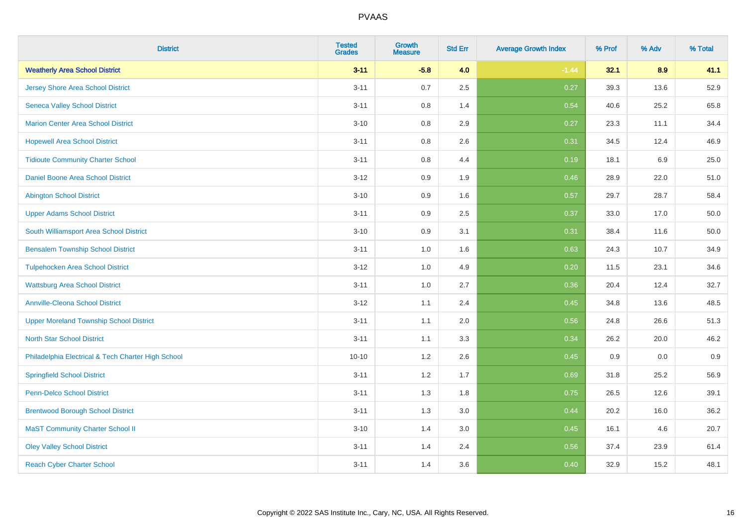| <b>District</b>                                    | <b>Tested</b><br><b>Grades</b> | <b>Growth</b><br><b>Measure</b> | <b>Std Err</b> | <b>Average Growth Index</b> | % Prof | % Adv | % Total |
|----------------------------------------------------|--------------------------------|---------------------------------|----------------|-----------------------------|--------|-------|---------|
| <b>Weatherly Area School District</b>              | $3 - 11$                       | $-5.8$                          | 4.0            | $-1.44$                     | 32.1   | 8.9   | 41.1    |
| <b>Jersey Shore Area School District</b>           | $3 - 11$                       | 0.7                             | 2.5            | 0.27                        | 39.3   | 13.6  | 52.9    |
| <b>Seneca Valley School District</b>               | $3 - 11$                       | 0.8                             | 1.4            | 0.54                        | 40.6   | 25.2  | 65.8    |
| <b>Marion Center Area School District</b>          | $3 - 10$                       | 0.8                             | 2.9            | 0.27                        | 23.3   | 11.1  | 34.4    |
| <b>Hopewell Area School District</b>               | $3 - 11$                       | 0.8                             | 2.6            | 0.31                        | 34.5   | 12.4  | 46.9    |
| <b>Tidioute Community Charter School</b>           | $3 - 11$                       | 0.8                             | 4.4            | 0.19                        | 18.1   | 6.9   | 25.0    |
| Daniel Boone Area School District                  | $3-12$                         | 0.9                             | 1.9            | 0.46                        | 28.9   | 22.0  | 51.0    |
| <b>Abington School District</b>                    | $3 - 10$                       | 0.9                             | 1.6            | 0.57                        | 29.7   | 28.7  | 58.4    |
| <b>Upper Adams School District</b>                 | $3 - 11$                       | 0.9                             | 2.5            | 0.37                        | 33.0   | 17.0  | 50.0    |
| South Williamsport Area School District            | $3 - 10$                       | 0.9                             | 3.1            | 0.31                        | 38.4   | 11.6  | 50.0    |
| <b>Bensalem Township School District</b>           | $3 - 11$                       | 1.0                             | 1.6            | 0.63                        | 24.3   | 10.7  | 34.9    |
| <b>Tulpehocken Area School District</b>            | $3 - 12$                       | 1.0                             | 4.9            | 0.20                        | 11.5   | 23.1  | 34.6    |
| <b>Wattsburg Area School District</b>              | $3 - 11$                       | 1.0                             | 2.7            | 0.36                        | 20.4   | 12.4  | 32.7    |
| <b>Annville-Cleona School District</b>             | $3-12$                         | 1.1                             | 2.4            | 0.45                        | 34.8   | 13.6  | 48.5    |
| <b>Upper Moreland Township School District</b>     | $3 - 11$                       | 1.1                             | 2.0            | 0.56                        | 24.8   | 26.6  | 51.3    |
| <b>North Star School District</b>                  | $3 - 11$                       | 1.1                             | 3.3            | 0.34                        | 26.2   | 20.0  | 46.2    |
| Philadelphia Electrical & Tech Charter High School | $10 - 10$                      | $1.2$                           | 2.6            | 0.45                        | 0.9    | 0.0   | 0.9     |
| <b>Springfield School District</b>                 | $3 - 11$                       | 1.2                             | 1.7            | 0.69                        | 31.8   | 25.2  | 56.9    |
| <b>Penn-Delco School District</b>                  | $3 - 11$                       | 1.3                             | 1.8            | 0.75                        | 26.5   | 12.6  | 39.1    |
| <b>Brentwood Borough School District</b>           | $3 - 11$                       | 1.3                             | 3.0            | 0.44                        | 20.2   | 16.0  | 36.2    |
| <b>MaST Community Charter School II</b>            | $3 - 10$                       | 1.4                             | 3.0            | 0.45                        | 16.1   | 4.6   | 20.7    |
| <b>Oley Valley School District</b>                 | $3 - 11$                       | 1.4                             | 2.4            | 0.56                        | 37.4   | 23.9  | 61.4    |
| <b>Reach Cyber Charter School</b>                  | $3 - 11$                       | 1.4                             | 3.6            | 0.40                        | 32.9   | 15.2  | 48.1    |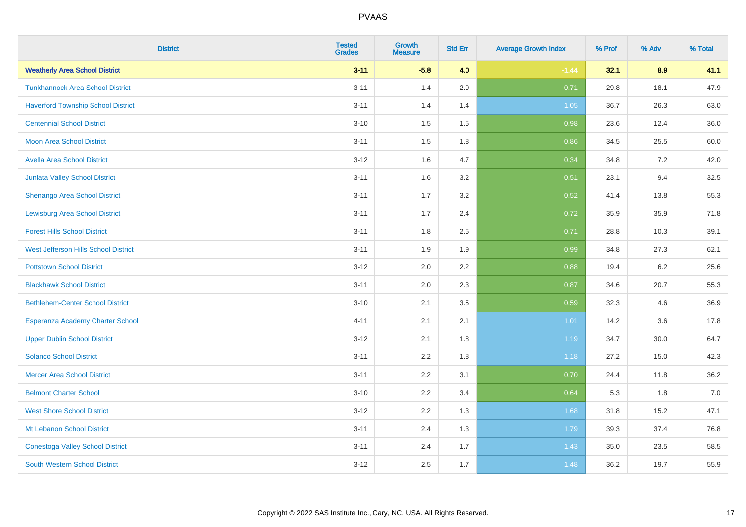| <b>District</b>                           | <b>Tested</b><br><b>Grades</b> | <b>Growth</b><br><b>Measure</b> | <b>Std Err</b> | <b>Average Growth Index</b> | % Prof | % Adv | % Total |
|-------------------------------------------|--------------------------------|---------------------------------|----------------|-----------------------------|--------|-------|---------|
| <b>Weatherly Area School District</b>     | $3 - 11$                       | $-5.8$                          | 4.0            | $-1.44$                     | 32.1   | 8.9   | 41.1    |
| <b>Tunkhannock Area School District</b>   | $3 - 11$                       | 1.4                             | 2.0            | 0.71                        | 29.8   | 18.1  | 47.9    |
| <b>Haverford Township School District</b> | $3 - 11$                       | 1.4                             | 1.4            | 1.05                        | 36.7   | 26.3  | 63.0    |
| <b>Centennial School District</b>         | $3 - 10$                       | 1.5                             | 1.5            | 0.98                        | 23.6   | 12.4  | 36.0    |
| <b>Moon Area School District</b>          | $3 - 11$                       | 1.5                             | 1.8            | 0.86                        | 34.5   | 25.5  | 60.0    |
| <b>Avella Area School District</b>        | $3 - 12$                       | 1.6                             | 4.7            | 0.34                        | 34.8   | 7.2   | 42.0    |
| Juniata Valley School District            | $3 - 11$                       | 1.6                             | 3.2            | 0.51                        | 23.1   | 9.4   | 32.5    |
| <b>Shenango Area School District</b>      | $3 - 11$                       | 1.7                             | 3.2            | 0.52                        | 41.4   | 13.8  | 55.3    |
| <b>Lewisburg Area School District</b>     | $3 - 11$                       | 1.7                             | 2.4            | 0.72                        | 35.9   | 35.9  | 71.8    |
| <b>Forest Hills School District</b>       | $3 - 11$                       | 1.8                             | 2.5            | 0.71                        | 28.8   | 10.3  | 39.1    |
| West Jefferson Hills School District      | $3 - 11$                       | 1.9                             | 1.9            | 0.99                        | 34.8   | 27.3  | 62.1    |
| <b>Pottstown School District</b>          | $3 - 12$                       | 2.0                             | 2.2            | 0.88                        | 19.4   | 6.2   | 25.6    |
| <b>Blackhawk School District</b>          | $3 - 11$                       | 2.0                             | 2.3            | 0.87                        | 34.6   | 20.7  | 55.3    |
| <b>Bethlehem-Center School District</b>   | $3 - 10$                       | 2.1                             | 3.5            | 0.59                        | 32.3   | 4.6   | 36.9    |
| Esperanza Academy Charter School          | $4 - 11$                       | 2.1                             | 2.1            | 1.01                        | 14.2   | 3.6   | 17.8    |
| <b>Upper Dublin School District</b>       | $3 - 12$                       | 2.1                             | 1.8            | 1.19                        | 34.7   | 30.0  | 64.7    |
| <b>Solanco School District</b>            | $3 - 11$                       | 2.2                             | 1.8            | 1.18                        | 27.2   | 15.0  | 42.3    |
| <b>Mercer Area School District</b>        | $3 - 11$                       | 2.2                             | 3.1            | 0.70                        | 24.4   | 11.8  | 36.2    |
| <b>Belmont Charter School</b>             | $3 - 10$                       | 2.2                             | 3.4            | 0.64                        | 5.3    | 1.8   | $7.0$   |
| <b>West Shore School District</b>         | $3 - 12$                       | 2.2                             | 1.3            | 1.68                        | 31.8   | 15.2  | 47.1    |
| Mt Lebanon School District                | $3 - 11$                       | 2.4                             | 1.3            | 1.79                        | 39.3   | 37.4  | 76.8    |
| <b>Conestoga Valley School District</b>   | $3 - 11$                       | 2.4                             | 1.7            | 1.43                        | 35.0   | 23.5  | 58.5    |
| <b>South Western School District</b>      | $3 - 12$                       | 2.5                             | 1.7            | 1.48                        | 36.2   | 19.7  | 55.9    |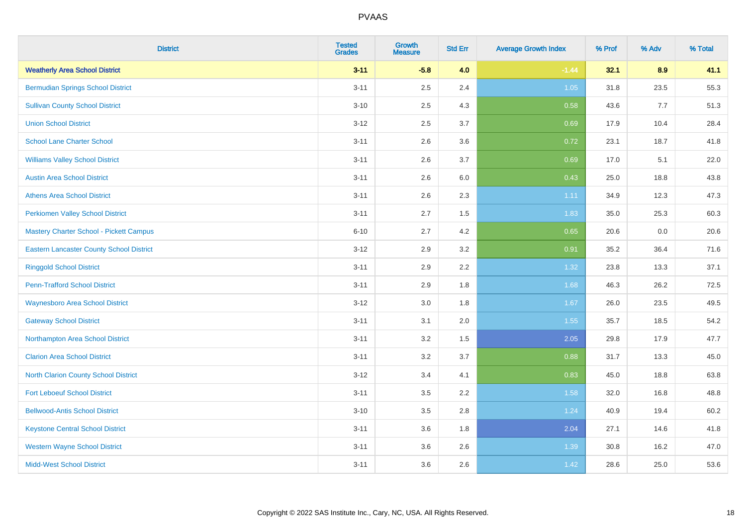| <b>District</b>                                 | <b>Tested</b><br><b>Grades</b> | <b>Growth</b><br><b>Measure</b> | <b>Std Err</b> | <b>Average Growth Index</b> | % Prof | % Adv | % Total |
|-------------------------------------------------|--------------------------------|---------------------------------|----------------|-----------------------------|--------|-------|---------|
| <b>Weatherly Area School District</b>           | $3 - 11$                       | $-5.8$                          | 4.0            | $-1.44$                     | 32.1   | 8.9   | 41.1    |
| <b>Bermudian Springs School District</b>        | $3 - 11$                       | 2.5                             | 2.4            | 1.05                        | 31.8   | 23.5  | 55.3    |
| <b>Sullivan County School District</b>          | $3 - 10$                       | 2.5                             | 4.3            | 0.58                        | 43.6   | 7.7   | 51.3    |
| <b>Union School District</b>                    | $3 - 12$                       | 2.5                             | 3.7            | 0.69                        | 17.9   | 10.4  | 28.4    |
| <b>School Lane Charter School</b>               | $3 - 11$                       | 2.6                             | 3.6            | 0.72                        | 23.1   | 18.7  | 41.8    |
| <b>Williams Valley School District</b>          | $3 - 11$                       | 2.6                             | 3.7            | 0.69                        | 17.0   | 5.1   | 22.0    |
| <b>Austin Area School District</b>              | $3 - 11$                       | 2.6                             | 6.0            | 0.43                        | 25.0   | 18.8  | 43.8    |
| <b>Athens Area School District</b>              | $3 - 11$                       | 2.6                             | 2.3            | 1.11                        | 34.9   | 12.3  | 47.3    |
| <b>Perkiomen Valley School District</b>         | $3 - 11$                       | 2.7                             | 1.5            | 1.83                        | 35.0   | 25.3  | 60.3    |
| Mastery Charter School - Pickett Campus         | $6 - 10$                       | 2.7                             | 4.2            | 0.65                        | 20.6   | 0.0   | 20.6    |
| <b>Eastern Lancaster County School District</b> | $3 - 12$                       | 2.9                             | 3.2            | 0.91                        | 35.2   | 36.4  | 71.6    |
| <b>Ringgold School District</b>                 | $3 - 11$                       | 2.9                             | 2.2            | 1.32                        | 23.8   | 13.3  | 37.1    |
| <b>Penn-Trafford School District</b>            | $3 - 11$                       | 2.9                             | 1.8            | 1.68                        | 46.3   | 26.2  | 72.5    |
| <b>Waynesboro Area School District</b>          | $3 - 12$                       | 3.0                             | 1.8            | 1.67                        | 26.0   | 23.5  | 49.5    |
| <b>Gateway School District</b>                  | $3 - 11$                       | 3.1                             | 2.0            | 1.55                        | 35.7   | 18.5  | 54.2    |
| Northampton Area School District                | $3 - 11$                       | 3.2                             | 1.5            | 2.05                        | 29.8   | 17.9  | 47.7    |
| <b>Clarion Area School District</b>             | $3 - 11$                       | 3.2                             | 3.7            | 0.88                        | 31.7   | 13.3  | 45.0    |
| North Clarion County School District            | $3 - 12$                       | 3.4                             | 4.1            | 0.83                        | 45.0   | 18.8  | 63.8    |
| <b>Fort Leboeuf School District</b>             | $3 - 11$                       | 3.5                             | 2.2            | 1.58                        | 32.0   | 16.8  | 48.8    |
| <b>Bellwood-Antis School District</b>           | $3 - 10$                       | 3.5                             | 2.8            | 1.24                        | 40.9   | 19.4  | 60.2    |
| <b>Keystone Central School District</b>         | $3 - 11$                       | 3.6                             | 1.8            | 2.04                        | 27.1   | 14.6  | 41.8    |
| <b>Western Wayne School District</b>            | $3 - 11$                       | 3.6                             | 2.6            | 1.39                        | 30.8   | 16.2  | 47.0    |
| <b>Midd-West School District</b>                | $3 - 11$                       | 3.6                             | 2.6            | 1.42                        | 28.6   | 25.0  | 53.6    |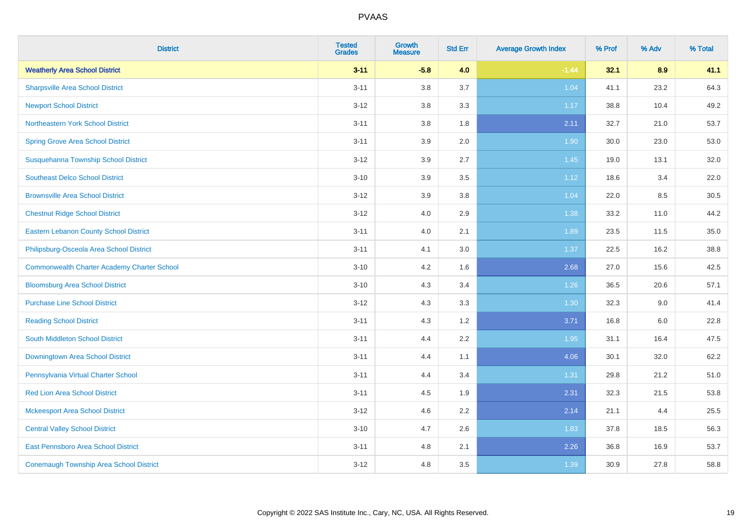| <b>District</b>                               | <b>Tested</b><br><b>Grades</b> | <b>Growth</b><br><b>Measure</b> | <b>Std Err</b> | <b>Average Growth Index</b> | % Prof | % Adv | % Total |
|-----------------------------------------------|--------------------------------|---------------------------------|----------------|-----------------------------|--------|-------|---------|
| <b>Weatherly Area School District</b>         | $3 - 11$                       | $-5.8$                          | 4.0            | $-1.44$                     | 32.1   | 8.9   | 41.1    |
| <b>Sharpsville Area School District</b>       | $3 - 11$                       | 3.8                             | 3.7            | 1.04                        | 41.1   | 23.2  | 64.3    |
| <b>Newport School District</b>                | $3 - 12$                       | 3.8                             | 3.3            | 1.17                        | 38.8   | 10.4  | 49.2    |
| Northeastern York School District             | $3 - 11$                       | 3.8                             | 1.8            | 2.11                        | 32.7   | 21.0  | 53.7    |
| <b>Spring Grove Area School District</b>      | $3 - 11$                       | 3.9                             | 2.0            | 1.90                        | 30.0   | 23.0  | 53.0    |
| Susquehanna Township School District          | $3 - 12$                       | 3.9                             | 2.7            | 1.45                        | 19.0   | 13.1  | 32.0    |
| <b>Southeast Delco School District</b>        | $3 - 10$                       | 3.9                             | 3.5            | 1.12                        | 18.6   | 3.4   | 22.0    |
| <b>Brownsville Area School District</b>       | $3 - 12$                       | 3.9                             | 3.8            | 1.04                        | 22.0   | 8.5   | 30.5    |
| <b>Chestnut Ridge School District</b>         | $3 - 12$                       | 4.0                             | 2.9            | 1.38                        | 33.2   | 11.0  | 44.2    |
| <b>Eastern Lebanon County School District</b> | $3 - 11$                       | 4.0                             | 2.1            | 1.89                        | 23.5   | 11.5  | 35.0    |
| Philipsburg-Osceola Area School District      | $3 - 11$                       | 4.1                             | 3.0            | 1.37                        | 22.5   | 16.2  | 38.8    |
| Commonwealth Charter Academy Charter School   | $3 - 10$                       | 4.2                             | 1.6            | 2.68                        | 27.0   | 15.6  | 42.5    |
| <b>Bloomsburg Area School District</b>        | $3 - 10$                       | 4.3                             | 3.4            | 1.26                        | 36.5   | 20.6  | 57.1    |
| <b>Purchase Line School District</b>          | $3-12$                         | 4.3                             | 3.3            | 1.30                        | 32.3   | 9.0   | 41.4    |
| <b>Reading School District</b>                | $3 - 11$                       | 4.3                             | 1.2            | 3.71                        | 16.8   | 6.0   | 22.8    |
| South Middleton School District               | $3 - 11$                       | 4.4                             | 2.2            | 1.95                        | 31.1   | 16.4  | 47.5    |
| Downingtown Area School District              | $3 - 11$                       | 4.4                             | 1.1            | 4.06                        | 30.1   | 32.0  | 62.2    |
| Pennsylvania Virtual Charter School           | $3 - 11$                       | 4.4                             | 3.4            | 1.31                        | 29.8   | 21.2  | 51.0    |
| <b>Red Lion Area School District</b>          | $3 - 11$                       | 4.5                             | 1.9            | 2.31                        | 32.3   | 21.5  | 53.8    |
| <b>Mckeesport Area School District</b>        | $3-12$                         | 4.6                             | 2.2            | 2.14                        | 21.1   | 4.4   | 25.5    |
| <b>Central Valley School District</b>         | $3 - 10$                       | 4.7                             | 2.6            | 1.83                        | 37.8   | 18.5  | 56.3    |
| East Pennsboro Area School District           | $3 - 11$                       | 4.8                             | 2.1            | 2.26                        | 36.8   | 16.9  | 53.7    |
| Conemaugh Township Area School District       | $3-12$                         | 4.8                             | 3.5            | 1.39                        | 30.9   | 27.8  | 58.8    |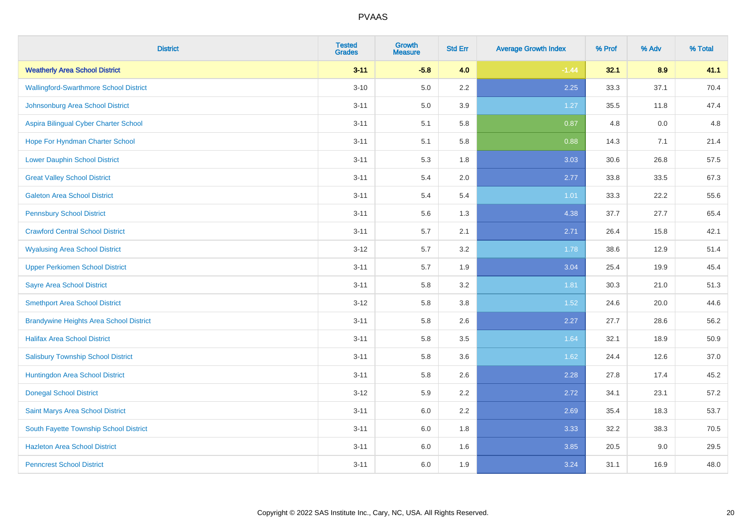| <b>District</b>                                | <b>Tested</b><br><b>Grades</b> | <b>Growth</b><br><b>Measure</b> | <b>Std Err</b> | <b>Average Growth Index</b> | % Prof | % Adv | % Total |
|------------------------------------------------|--------------------------------|---------------------------------|----------------|-----------------------------|--------|-------|---------|
| <b>Weatherly Area School District</b>          | $3 - 11$                       | $-5.8$                          | 4.0            | $-1.44$                     | 32.1   | 8.9   | 41.1    |
| <b>Wallingford-Swarthmore School District</b>  | $3 - 10$                       | 5.0                             | $2.2\,$        | 2.25                        | 33.3   | 37.1  | 70.4    |
| Johnsonburg Area School District               | $3 - 11$                       | 5.0                             | 3.9            | 1.27                        | 35.5   | 11.8  | 47.4    |
| Aspira Bilingual Cyber Charter School          | $3 - 11$                       | 5.1                             | 5.8            | 0.87                        | 4.8    | 0.0   | 4.8     |
| Hope For Hyndman Charter School                | $3 - 11$                       | 5.1                             | 5.8            | 0.88                        | 14.3   | 7.1   | 21.4    |
| <b>Lower Dauphin School District</b>           | $3 - 11$                       | 5.3                             | 1.8            | 3.03                        | 30.6   | 26.8  | 57.5    |
| <b>Great Valley School District</b>            | $3 - 11$                       | 5.4                             | 2.0            | 2.77                        | 33.8   | 33.5  | 67.3    |
| <b>Galeton Area School District</b>            | $3 - 11$                       | 5.4                             | 5.4            | 1.01                        | 33.3   | 22.2  | 55.6    |
| <b>Pennsbury School District</b>               | $3 - 11$                       | 5.6                             | 1.3            | 4.38                        | 37.7   | 27.7  | 65.4    |
| <b>Crawford Central School District</b>        | $3 - 11$                       | 5.7                             | 2.1            | 2.71                        | 26.4   | 15.8  | 42.1    |
| <b>Wyalusing Area School District</b>          | $3 - 12$                       | 5.7                             | 3.2            | 1.78                        | 38.6   | 12.9  | 51.4    |
| <b>Upper Perkiomen School District</b>         | $3 - 11$                       | 5.7                             | 1.9            | 3.04                        | 25.4   | 19.9  | 45.4    |
| <b>Sayre Area School District</b>              | $3 - 11$                       | 5.8                             | 3.2            | 1.81                        | 30.3   | 21.0  | 51.3    |
| <b>Smethport Area School District</b>          | $3 - 12$                       | 5.8                             | 3.8            | 1.52                        | 24.6   | 20.0  | 44.6    |
| <b>Brandywine Heights Area School District</b> | $3 - 11$                       | 5.8                             | 2.6            | 2.27                        | 27.7   | 28.6  | 56.2    |
| <b>Halifax Area School District</b>            | $3 - 11$                       | 5.8                             | 3.5            | 1.64                        | 32.1   | 18.9  | 50.9    |
| <b>Salisbury Township School District</b>      | $3 - 11$                       | 5.8                             | 3.6            | 1.62                        | 24.4   | 12.6  | 37.0    |
| Huntingdon Area School District                | $3 - 11$                       | 5.8                             | 2.6            | 2.28                        | 27.8   | 17.4  | 45.2    |
| <b>Donegal School District</b>                 | $3 - 12$                       | 5.9                             | 2.2            | 2.72                        | 34.1   | 23.1  | 57.2    |
| Saint Marys Area School District               | $3 - 11$                       | 6.0                             | 2.2            | 2.69                        | 35.4   | 18.3  | 53.7    |
| South Fayette Township School District         | $3 - 11$                       | 6.0                             | 1.8            | 3.33                        | 32.2   | 38.3  | 70.5    |
| <b>Hazleton Area School District</b>           | $3 - 11$                       | 6.0                             | 1.6            | 3.85                        | 20.5   | 9.0   | 29.5    |
| <b>Penncrest School District</b>               | $3 - 11$                       | 6.0                             | 1.9            | 3.24                        | 31.1   | 16.9  | 48.0    |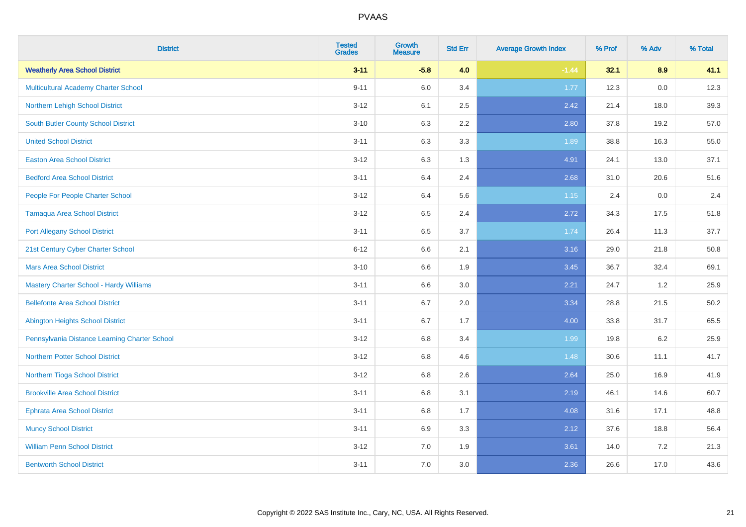| <b>District</b>                                | <b>Tested</b><br><b>Grades</b> | <b>Growth</b><br><b>Measure</b> | <b>Std Err</b> | <b>Average Growth Index</b> | % Prof | % Adv   | % Total |
|------------------------------------------------|--------------------------------|---------------------------------|----------------|-----------------------------|--------|---------|---------|
| <b>Weatherly Area School District</b>          | $3 - 11$                       | $-5.8$                          | 4.0            | $-1.44$                     | 32.1   | 8.9     | 41.1    |
| Multicultural Academy Charter School           | $9 - 11$                       | 6.0                             | 3.4            | 1.77                        | 12.3   | $0.0\,$ | 12.3    |
| Northern Lehigh School District                | $3 - 12$                       | 6.1                             | 2.5            | 2.42                        | 21.4   | 18.0    | 39.3    |
| South Butler County School District            | $3 - 10$                       | 6.3                             | 2.2            | 2.80                        | 37.8   | 19.2    | 57.0    |
| <b>United School District</b>                  | $3 - 11$                       | 6.3                             | 3.3            | 1.89                        | 38.8   | 16.3    | 55.0    |
| <b>Easton Area School District</b>             | $3 - 12$                       | 6.3                             | 1.3            | 4.91                        | 24.1   | 13.0    | 37.1    |
| <b>Bedford Area School District</b>            | $3 - 11$                       | 6.4                             | 2.4            | 2.68                        | 31.0   | 20.6    | 51.6    |
| People For People Charter School               | $3 - 12$                       | 6.4                             | 5.6            | 1.15                        | 2.4    | 0.0     | 2.4     |
| <b>Tamaqua Area School District</b>            | $3 - 12$                       | 6.5                             | 2.4            | 2.72                        | 34.3   | 17.5    | 51.8    |
| <b>Port Allegany School District</b>           | $3 - 11$                       | 6.5                             | 3.7            | 1.74                        | 26.4   | 11.3    | 37.7    |
| 21st Century Cyber Charter School              | $6 - 12$                       | 6.6                             | 2.1            | 3.16                        | 29.0   | 21.8    | 50.8    |
| <b>Mars Area School District</b>               | $3 - 10$                       | 6.6                             | 1.9            | 3.45                        | 36.7   | 32.4    | 69.1    |
| <b>Mastery Charter School - Hardy Williams</b> | $3 - 11$                       | 6.6                             | 3.0            | 2.21                        | 24.7   | 1.2     | 25.9    |
| <b>Bellefonte Area School District</b>         | $3 - 11$                       | 6.7                             | 2.0            | 3.34                        | 28.8   | 21.5    | 50.2    |
| <b>Abington Heights School District</b>        | $3 - 11$                       | 6.7                             | 1.7            | 4.00                        | 33.8   | 31.7    | 65.5    |
| Pennsylvania Distance Learning Charter School  | $3-12$                         | 6.8                             | 3.4            | 1.99                        | 19.8   | $6.2\,$ | 25.9    |
| <b>Northern Potter School District</b>         | $3-12$                         | 6.8                             | 4.6            | 1.48                        | 30.6   | 11.1    | 41.7    |
| Northern Tioga School District                 | $3 - 12$                       | 6.8                             | 2.6            | 2.64                        | 25.0   | 16.9    | 41.9    |
| <b>Brookville Area School District</b>         | $3 - 11$                       | 6.8                             | 3.1            | 2.19                        | 46.1   | 14.6    | 60.7    |
| Ephrata Area School District                   | $3 - 11$                       | 6.8                             | 1.7            | 4.08                        | 31.6   | 17.1    | 48.8    |
| <b>Muncy School District</b>                   | $3 - 11$                       | 6.9                             | 3.3            | 2.12                        | 37.6   | 18.8    | 56.4    |
| <b>William Penn School District</b>            | $3 - 12$                       | 7.0                             | 1.9            | 3.61                        | 14.0   | 7.2     | 21.3    |
| <b>Bentworth School District</b>               | $3 - 11$                       | 7.0                             | 3.0            | 2.36                        | 26.6   | 17.0    | 43.6    |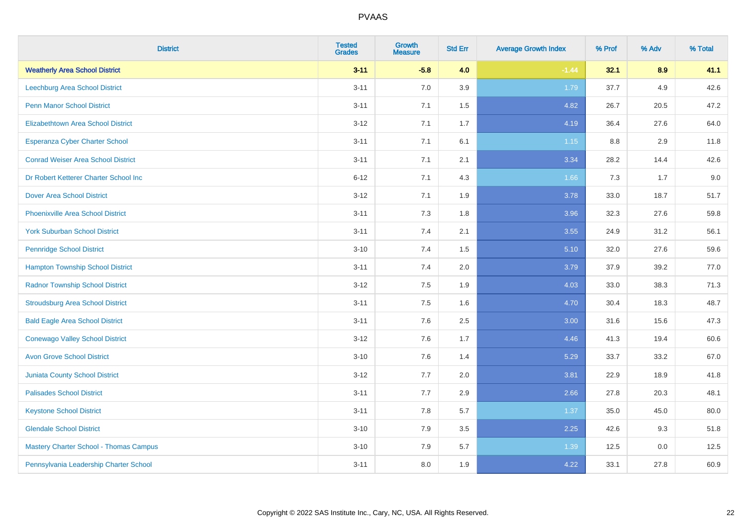| <b>District</b>                               | <b>Tested</b><br><b>Grades</b> | <b>Growth</b><br><b>Measure</b> | <b>Std Err</b> | <b>Average Growth Index</b> | % Prof | % Adv | % Total |
|-----------------------------------------------|--------------------------------|---------------------------------|----------------|-----------------------------|--------|-------|---------|
| <b>Weatherly Area School District</b>         | $3 - 11$                       | $-5.8$                          | 4.0            | $-1.44$                     | 32.1   | 8.9   | 41.1    |
| <b>Leechburg Area School District</b>         | $3 - 11$                       | 7.0                             | 3.9            | 1.79                        | 37.7   | 4.9   | 42.6    |
| <b>Penn Manor School District</b>             | $3 - 11$                       | 7.1                             | 1.5            | 4.82                        | 26.7   | 20.5  | 47.2    |
| <b>Elizabethtown Area School District</b>     | $3 - 12$                       | 7.1                             | 1.7            | 4.19                        | 36.4   | 27.6  | 64.0    |
| <b>Esperanza Cyber Charter School</b>         | $3 - 11$                       | 7.1                             | 6.1            | 1.15                        | 8.8    | 2.9   | 11.8    |
| <b>Conrad Weiser Area School District</b>     | $3 - 11$                       | 7.1                             | 2.1            | 3.34                        | 28.2   | 14.4  | 42.6    |
| Dr Robert Ketterer Charter School Inc         | $6 - 12$                       | 7.1                             | 4.3            | 1.66                        | 7.3    | 1.7   | 9.0     |
| <b>Dover Area School District</b>             | $3 - 12$                       | 7.1                             | 1.9            | 3.78                        | 33.0   | 18.7  | 51.7    |
| <b>Phoenixville Area School District</b>      | $3 - 11$                       | 7.3                             | 1.8            | 3.96                        | 32.3   | 27.6  | 59.8    |
| <b>York Suburban School District</b>          | $3 - 11$                       | 7.4                             | 2.1            | 3.55                        | 24.9   | 31.2  | 56.1    |
| <b>Pennridge School District</b>              | $3 - 10$                       | 7.4                             | 1.5            | 5.10                        | 32.0   | 27.6  | 59.6    |
| <b>Hampton Township School District</b>       | $3 - 11$                       | 7.4                             | 2.0            | 3.79                        | 37.9   | 39.2  | 77.0    |
| <b>Radnor Township School District</b>        | $3 - 12$                       | $7.5\,$                         | 1.9            | 4.03                        | 33.0   | 38.3  | 71.3    |
| <b>Stroudsburg Area School District</b>       | $3 - 11$                       | 7.5                             | 1.6            | 4.70                        | 30.4   | 18.3  | 48.7    |
| <b>Bald Eagle Area School District</b>        | $3 - 11$                       | 7.6                             | 2.5            | 3.00                        | 31.6   | 15.6  | 47.3    |
| <b>Conewago Valley School District</b>        | $3-12$                         | 7.6                             | 1.7            | 4.46                        | 41.3   | 19.4  | 60.6    |
| <b>Avon Grove School District</b>             | $3 - 10$                       | 7.6                             | 1.4            | 5.29                        | 33.7   | 33.2  | 67.0    |
| <b>Juniata County School District</b>         | $3 - 12$                       | 7.7                             | 2.0            | 3.81                        | 22.9   | 18.9  | 41.8    |
| <b>Palisades School District</b>              | $3 - 11$                       | 7.7                             | 2.9            | 2.66                        | 27.8   | 20.3  | 48.1    |
| <b>Keystone School District</b>               | $3 - 11$                       | 7.8                             | 5.7            | 1.37                        | 35.0   | 45.0  | 80.0    |
| <b>Glendale School District</b>               | $3 - 10$                       | 7.9                             | 3.5            | 2.25                        | 42.6   | 9.3   | 51.8    |
| <b>Mastery Charter School - Thomas Campus</b> | $3 - 10$                       | 7.9                             | 5.7            | 1.39                        | 12.5   | 0.0   | 12.5    |
| Pennsylvania Leadership Charter School        | $3 - 11$                       | 8.0                             | 1.9            | 4.22                        | 33.1   | 27.8  | 60.9    |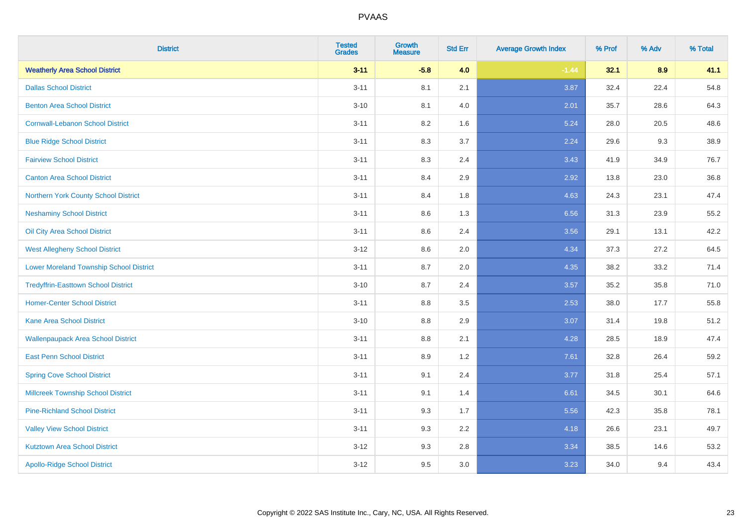| <b>District</b>                                | <b>Tested</b><br><b>Grades</b> | <b>Growth</b><br><b>Measure</b> | <b>Std Err</b> | <b>Average Growth Index</b> | % Prof | % Adv | % Total |
|------------------------------------------------|--------------------------------|---------------------------------|----------------|-----------------------------|--------|-------|---------|
| <b>Weatherly Area School District</b>          | $3 - 11$                       | $-5.8$                          | 4.0            | $-1.44$                     | 32.1   | 8.9   | 41.1    |
| <b>Dallas School District</b>                  | $3 - 11$                       | 8.1                             | 2.1            | 3.87                        | 32.4   | 22.4  | 54.8    |
| <b>Benton Area School District</b>             | $3 - 10$                       | 8.1                             | 4.0            | 2.01                        | 35.7   | 28.6  | 64.3    |
| <b>Cornwall-Lebanon School District</b>        | $3 - 11$                       | 8.2                             | 1.6            | 5.24                        | 28.0   | 20.5  | 48.6    |
| <b>Blue Ridge School District</b>              | $3 - 11$                       | 8.3                             | 3.7            | 2.24                        | 29.6   | 9.3   | 38.9    |
| <b>Fairview School District</b>                | $3 - 11$                       | 8.3                             | 2.4            | 3.43                        | 41.9   | 34.9  | 76.7    |
| <b>Canton Area School District</b>             | $3 - 11$                       | 8.4                             | 2.9            | 2.92                        | 13.8   | 23.0  | 36.8    |
| Northern York County School District           | $3 - 11$                       | 8.4                             | 1.8            | 4.63                        | 24.3   | 23.1  | 47.4    |
| <b>Neshaminy School District</b>               | $3 - 11$                       | 8.6                             | 1.3            | 6.56                        | 31.3   | 23.9  | 55.2    |
| Oil City Area School District                  | $3 - 11$                       | 8.6                             | 2.4            | 3.56                        | 29.1   | 13.1  | 42.2    |
| <b>West Allegheny School District</b>          | $3 - 12$                       | 8.6                             | 2.0            | 4.34                        | 37.3   | 27.2  | 64.5    |
| <b>Lower Moreland Township School District</b> | $3 - 11$                       | 8.7                             | 2.0            | 4.35                        | 38.2   | 33.2  | 71.4    |
| <b>Tredyffrin-Easttown School District</b>     | $3 - 10$                       | 8.7                             | 2.4            | 3.57                        | 35.2   | 35.8  | 71.0    |
| <b>Homer-Center School District</b>            | $3 - 11$                       | 8.8                             | 3.5            | 2.53                        | 38.0   | 17.7  | 55.8    |
| Kane Area School District                      | $3 - 10$                       | 8.8                             | 2.9            | 3.07                        | 31.4   | 19.8  | 51.2    |
| <b>Wallenpaupack Area School District</b>      | $3 - 11$                       | 8.8                             | 2.1            | 4.28                        | 28.5   | 18.9  | 47.4    |
| <b>East Penn School District</b>               | $3 - 11$                       | 8.9                             | 1.2            | 7.61                        | 32.8   | 26.4  | 59.2    |
| <b>Spring Cove School District</b>             | $3 - 11$                       | 9.1                             | 2.4            | 3.77                        | 31.8   | 25.4  | 57.1    |
| <b>Millcreek Township School District</b>      | $3 - 11$                       | 9.1                             | 1.4            | 6.61                        | 34.5   | 30.1  | 64.6    |
| <b>Pine-Richland School District</b>           | $3 - 11$                       | 9.3                             | 1.7            | 5.56                        | 42.3   | 35.8  | 78.1    |
| <b>Valley View School District</b>             | $3 - 11$                       | 9.3                             | 2.2            | 4.18                        | 26.6   | 23.1  | 49.7    |
| <b>Kutztown Area School District</b>           | $3 - 12$                       | 9.3                             | 2.8            | 3.34                        | 38.5   | 14.6  | 53.2    |
| <b>Apollo-Ridge School District</b>            | $3 - 12$                       | 9.5                             | 3.0            | 3.23                        | 34.0   | 9.4   | 43.4    |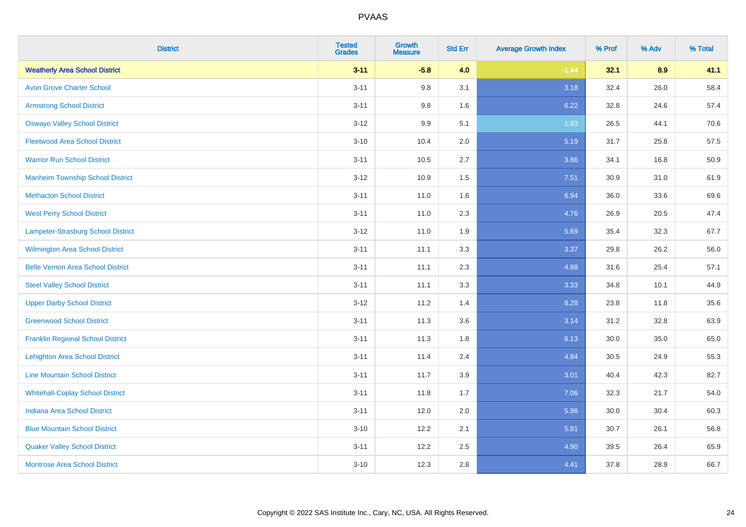| <b>District</b>                          | <b>Tested</b><br><b>Grades</b> | <b>Growth</b><br><b>Measure</b> | <b>Std Err</b> | <b>Average Growth Index</b> | % Prof | % Adv | % Total |
|------------------------------------------|--------------------------------|---------------------------------|----------------|-----------------------------|--------|-------|---------|
| <b>Weatherly Area School District</b>    | $3 - 11$                       | $-5.8$                          | 4.0            | $-1.44$                     | 32.1   | 8.9   | 41.1    |
| <b>Avon Grove Charter School</b>         | $3 - 11$                       | 9.8                             | 3.1            | 3.18                        | 32.4   | 26.0  | 58.4    |
| <b>Armstrong School District</b>         | $3 - 11$                       | 9.8                             | 1.6            | 6.22                        | 32.8   | 24.6  | 57.4    |
| <b>Oswayo Valley School District</b>     | $3 - 12$                       | 9.9                             | 5.1            | 1.93                        | 26.5   | 44.1  | 70.6    |
| <b>Fleetwood Area School District</b>    | $3 - 10$                       | 10.4                            | 2.0            | 5.19                        | 31.7   | 25.8  | 57.5    |
| <b>Warrior Run School District</b>       | $3 - 11$                       | 10.5                            | 2.7            | 3.86                        | 34.1   | 16.8  | 50.9    |
| <b>Manheim Township School District</b>  | $3 - 12$                       | 10.9                            | 1.5            | 7.51                        | 30.9   | 31.0  | 61.9    |
| <b>Methacton School District</b>         | $3 - 11$                       | 11.0                            | 1.6            | 6.94                        | 36.0   | 33.6  | 69.6    |
| <b>West Perry School District</b>        | $3 - 11$                       | 11.0                            | 2.3            | 4.76                        | 26.9   | 20.5  | 47.4    |
| Lampeter-Strasburg School District       | $3 - 12$                       | 11.0                            | 1.9            | 5.69                        | 35.4   | 32.3  | 67.7    |
| Wilmington Area School District          | $3 - 11$                       | 11.1                            | 3.3            | 3.37                        | 29.8   | 26.2  | 56.0    |
| <b>Belle Vernon Area School District</b> | $3 - 11$                       | 11.1                            | 2.3            | 4.88                        | 31.6   | 25.4  | 57.1    |
| <b>Steel Valley School District</b>      | $3 - 11$                       | 11.1                            | 3.3            | 3.33                        | 34.8   | 10.1  | 44.9    |
| <b>Upper Darby School District</b>       | $3 - 12$                       | 11.2                            | 1.4            | 8.28                        | 23.8   | 11.8  | 35.6    |
| <b>Greenwood School District</b>         | $3 - 11$                       | 11.3                            | 3.6            | 3.14                        | 31.2   | 32.8  | 63.9    |
| <b>Franklin Regional School District</b> | $3 - 11$                       | 11.3                            | 1.8            | 6.13                        | 30.0   | 35.0  | 65.0    |
| <b>Lehighton Area School District</b>    | $3 - 11$                       | 11.4                            | 2.4            | 4.84                        | 30.5   | 24.9  | 55.3    |
| <b>Line Mountain School District</b>     | $3 - 11$                       | 11.7                            | 3.9            | 3.01                        | 40.4   | 42.3  | 82.7    |
| <b>Whitehall-Coplay School District</b>  | $3 - 11$                       | 11.8                            | 1.7            | 7.06                        | 32.3   | 21.7  | 54.0    |
| <b>Indiana Area School District</b>      | $3 - 11$                       | 12.0                            | 2.0            | 5.98                        | 30.0   | 30.4  | 60.3    |
| <b>Blue Mountain School District</b>     | $3 - 10$                       | 12.2                            | 2.1            | 5.81                        | 30.7   | 26.1  | 56.8    |
| <b>Quaker Valley School District</b>     | $3 - 11$                       | 12.2                            | 2.5            | 4.90                        | 39.5   | 26.4  | 65.9    |
| <b>Montrose Area School District</b>     | $3 - 10$                       | 12.3                            | 2.8            | 4.41                        | 37.8   | 28.9  | 66.7    |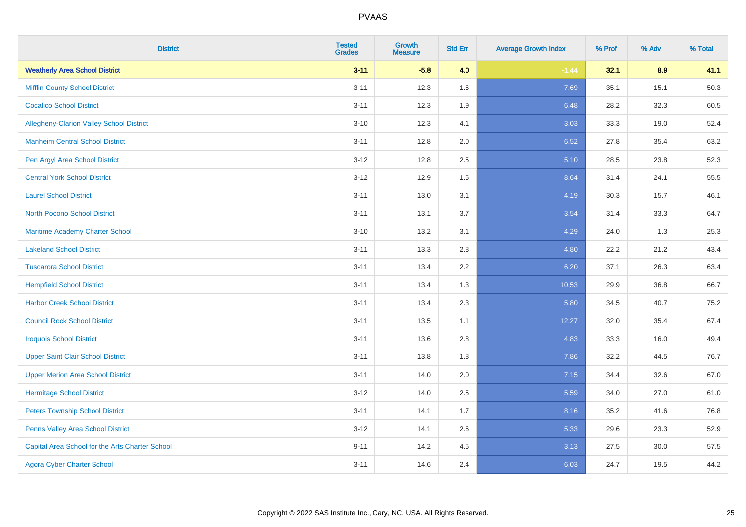| <b>District</b>                                 | <b>Tested</b><br><b>Grades</b> | <b>Growth</b><br><b>Measure</b> | <b>Std Err</b> | <b>Average Growth Index</b> | % Prof | % Adv    | % Total |
|-------------------------------------------------|--------------------------------|---------------------------------|----------------|-----------------------------|--------|----------|---------|
| <b>Weatherly Area School District</b>           | $3 - 11$                       | $-5.8$                          | 4.0            | $-1.44$                     | 32.1   | 8.9      | 41.1    |
| <b>Mifflin County School District</b>           | $3 - 11$                       | 12.3                            | 1.6            | 7.69                        | 35.1   | 15.1     | 50.3    |
| <b>Cocalico School District</b>                 | $3 - 11$                       | 12.3                            | 1.9            | 6.48                        | 28.2   | 32.3     | 60.5    |
| <b>Allegheny-Clarion Valley School District</b> | $3 - 10$                       | 12.3                            | 4.1            | 3.03                        | 33.3   | 19.0     | 52.4    |
| <b>Manheim Central School District</b>          | $3 - 11$                       | 12.8                            | 2.0            | 6.52                        | 27.8   | 35.4     | 63.2    |
| Pen Argyl Area School District                  | $3 - 12$                       | 12.8                            | 2.5            | 5.10                        | 28.5   | 23.8     | 52.3    |
| <b>Central York School District</b>             | $3 - 12$                       | 12.9                            | 1.5            | 8.64                        | 31.4   | 24.1     | 55.5    |
| <b>Laurel School District</b>                   | $3 - 11$                       | 13.0                            | 3.1            | 4.19                        | 30.3   | 15.7     | 46.1    |
| <b>North Pocono School District</b>             | $3 - 11$                       | 13.1                            | 3.7            | 3.54                        | 31.4   | 33.3     | 64.7    |
| Maritime Academy Charter School                 | $3 - 10$                       | 13.2                            | 3.1            | 4.29                        | 24.0   | 1.3      | 25.3    |
| <b>Lakeland School District</b>                 | $3 - 11$                       | 13.3                            | 2.8            | 4.80                        | 22.2   | 21.2     | 43.4    |
| <b>Tuscarora School District</b>                | $3 - 11$                       | 13.4                            | 2.2            | 6.20                        | 37.1   | 26.3     | 63.4    |
| <b>Hempfield School District</b>                | $3 - 11$                       | 13.4                            | 1.3            | 10.53                       | 29.9   | 36.8     | 66.7    |
| <b>Harbor Creek School District</b>             | $3 - 11$                       | 13.4                            | 2.3            | 5.80                        | 34.5   | 40.7     | 75.2    |
| <b>Council Rock School District</b>             | $3 - 11$                       | 13.5                            | 1.1            | 12.27                       | 32.0   | 35.4     | 67.4    |
| <b>Iroquois School District</b>                 | $3 - 11$                       | 13.6                            | 2.8            | 4.83                        | 33.3   | 16.0     | 49.4    |
| <b>Upper Saint Clair School District</b>        | $3 - 11$                       | 13.8                            | 1.8            | 7.86                        | 32.2   | 44.5     | 76.7    |
| <b>Upper Merion Area School District</b>        | $3 - 11$                       | 14.0                            | 2.0            | 7.15                        | 34.4   | 32.6     | 67.0    |
| <b>Hermitage School District</b>                | $3 - 12$                       | 14.0                            | 2.5            | 5.59                        | 34.0   | 27.0     | 61.0    |
| <b>Peters Township School District</b>          | $3 - 11$                       | 14.1                            | 1.7            | 8.16                        | 35.2   | 41.6     | 76.8    |
| Penns Valley Area School District               | $3 - 12$                       | 14.1                            | 2.6            | 5.33                        | 29.6   | 23.3     | 52.9    |
| Capital Area School for the Arts Charter School | $9 - 11$                       | 14.2                            | 4.5            | 3.13                        | 27.5   | $30.0\,$ | 57.5    |
| <b>Agora Cyber Charter School</b>               | $3 - 11$                       | 14.6                            | 2.4            | 6.03                        | 24.7   | 19.5     | 44.2    |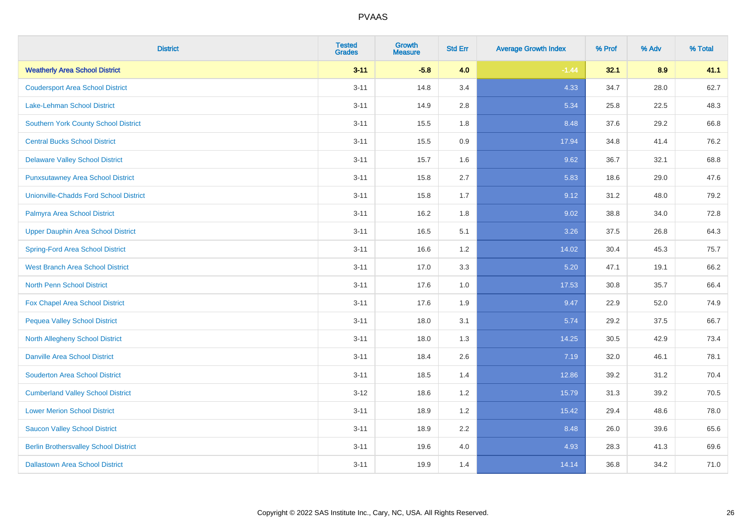| <b>District</b>                               | <b>Tested</b><br><b>Grades</b> | <b>Growth</b><br><b>Measure</b> | <b>Std Err</b> | <b>Average Growth Index</b> | % Prof | % Adv | % Total |
|-----------------------------------------------|--------------------------------|---------------------------------|----------------|-----------------------------|--------|-------|---------|
| <b>Weatherly Area School District</b>         | $3 - 11$                       | $-5.8$                          | 4.0            | $-1.44$                     | 32.1   | 8.9   | 41.1    |
| <b>Coudersport Area School District</b>       | $3 - 11$                       | 14.8                            | 3.4            | 4.33                        | 34.7   | 28.0  | 62.7    |
| <b>Lake-Lehman School District</b>            | $3 - 11$                       | 14.9                            | 2.8            | 5.34                        | 25.8   | 22.5  | 48.3    |
| <b>Southern York County School District</b>   | $3 - 11$                       | 15.5                            | 1.8            | 8.48                        | 37.6   | 29.2  | 66.8    |
| <b>Central Bucks School District</b>          | $3 - 11$                       | 15.5                            | 0.9            | 17.94                       | 34.8   | 41.4  | 76.2    |
| <b>Delaware Valley School District</b>        | $3 - 11$                       | 15.7                            | 1.6            | 9.62                        | 36.7   | 32.1  | 68.8    |
| <b>Punxsutawney Area School District</b>      | $3 - 11$                       | 15.8                            | 2.7            | 5.83                        | 18.6   | 29.0  | 47.6    |
| <b>Unionville-Chadds Ford School District</b> | $3 - 11$                       | 15.8                            | 1.7            | 9.12                        | 31.2   | 48.0  | 79.2    |
| Palmyra Area School District                  | $3 - 11$                       | 16.2                            | 1.8            | 9.02                        | 38.8   | 34.0  | 72.8    |
| <b>Upper Dauphin Area School District</b>     | $3 - 11$                       | 16.5                            | 5.1            | 3.26                        | 37.5   | 26.8  | 64.3    |
| <b>Spring-Ford Area School District</b>       | $3 - 11$                       | 16.6                            | 1.2            | 14.02                       | 30.4   | 45.3  | 75.7    |
| <b>West Branch Area School District</b>       | $3 - 11$                       | 17.0                            | 3.3            | 5.20                        | 47.1   | 19.1  | 66.2    |
| North Penn School District                    | $3 - 11$                       | 17.6                            | 1.0            | 17.53                       | 30.8   | 35.7  | 66.4    |
| <b>Fox Chapel Area School District</b>        | $3 - 11$                       | 17.6                            | 1.9            | 9.47                        | 22.9   | 52.0  | 74.9    |
| <b>Pequea Valley School District</b>          | $3 - 11$                       | 18.0                            | 3.1            | 5.74                        | 29.2   | 37.5  | 66.7    |
| North Allegheny School District               | $3 - 11$                       | 18.0                            | 1.3            | 14.25                       | 30.5   | 42.9  | 73.4    |
| <b>Danville Area School District</b>          | $3 - 11$                       | 18.4                            | 2.6            | 7.19                        | 32.0   | 46.1  | 78.1    |
| <b>Souderton Area School District</b>         | $3 - 11$                       | 18.5                            | 1.4            | 12.86                       | 39.2   | 31.2  | 70.4    |
| <b>Cumberland Valley School District</b>      | $3 - 12$                       | 18.6                            | 1.2            | 15.79                       | 31.3   | 39.2  | 70.5    |
| <b>Lower Merion School District</b>           | $3 - 11$                       | 18.9                            | 1.2            | 15.42                       | 29.4   | 48.6  | 78.0    |
| <b>Saucon Valley School District</b>          | $3 - 11$                       | 18.9                            | 2.2            | 8.48                        | 26.0   | 39.6  | 65.6    |
| <b>Berlin Brothersvalley School District</b>  | $3 - 11$                       | 19.6                            | 4.0            | 4.93                        | 28.3   | 41.3  | 69.6    |
| <b>Dallastown Area School District</b>        | $3 - 11$                       | 19.9                            | 1.4            | 14.14                       | 36.8   | 34.2  | 71.0    |